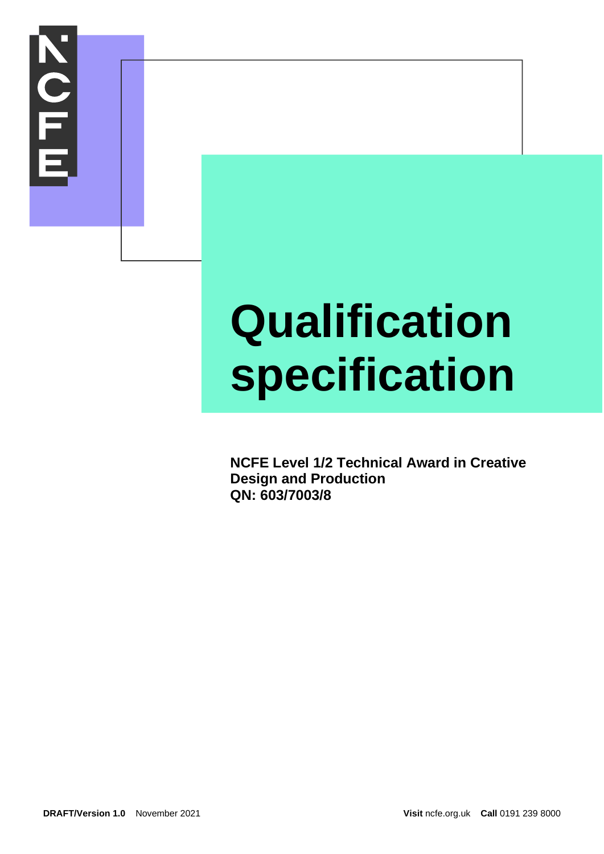

# **Qualification specification**

**NCFE Level 1/2 Technical Award in Creative Design and Production QN: 603/7003/8**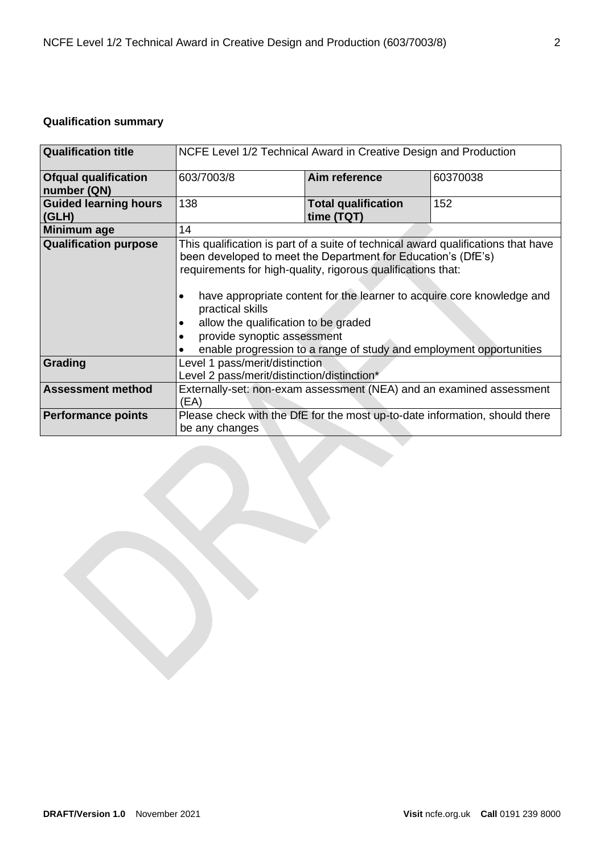# **Qualification summary**

| <b>Qualification title</b>                 | NCFE Level 1/2 Technical Award in Creative Design and Production                                                                                                                                                                                                                                                                                                                                                                                                                              |                                          |          |
|--------------------------------------------|-----------------------------------------------------------------------------------------------------------------------------------------------------------------------------------------------------------------------------------------------------------------------------------------------------------------------------------------------------------------------------------------------------------------------------------------------------------------------------------------------|------------------------------------------|----------|
| <b>Ofqual qualification</b><br>number (QN) | 603/7003/8                                                                                                                                                                                                                                                                                                                                                                                                                                                                                    | Aim reference                            | 60370038 |
| <b>Guided learning hours</b><br>(GLH)      | 138                                                                                                                                                                                                                                                                                                                                                                                                                                                                                           | <b>Total qualification</b><br>time (TQT) | 152      |
| Minimum age                                | 14                                                                                                                                                                                                                                                                                                                                                                                                                                                                                            |                                          |          |
| <b>Qualification purpose</b>               | This qualification is part of a suite of technical award qualifications that have<br>been developed to meet the Department for Education's (DfE's)<br>requirements for high-quality, rigorous qualifications that:<br>have appropriate content for the learner to acquire core knowledge and<br>$\bullet$<br>practical skills<br>allow the qualification to be graded<br>٠<br>provide synoptic assessment<br>$\bullet$<br>enable progression to a range of study and employment opportunities |                                          |          |
| Grading                                    | Level 1 pass/merit/distinction<br>Level 2 pass/merit/distinction/distinction*                                                                                                                                                                                                                                                                                                                                                                                                                 |                                          |          |
| <b>Assessment method</b>                   | Externally-set: non-exam assessment (NEA) and an examined assessment<br>(EA)                                                                                                                                                                                                                                                                                                                                                                                                                  |                                          |          |
| <b>Performance points</b>                  | Please check with the DfE for the most up-to-date information, should there<br>be any changes                                                                                                                                                                                                                                                                                                                                                                                                 |                                          |          |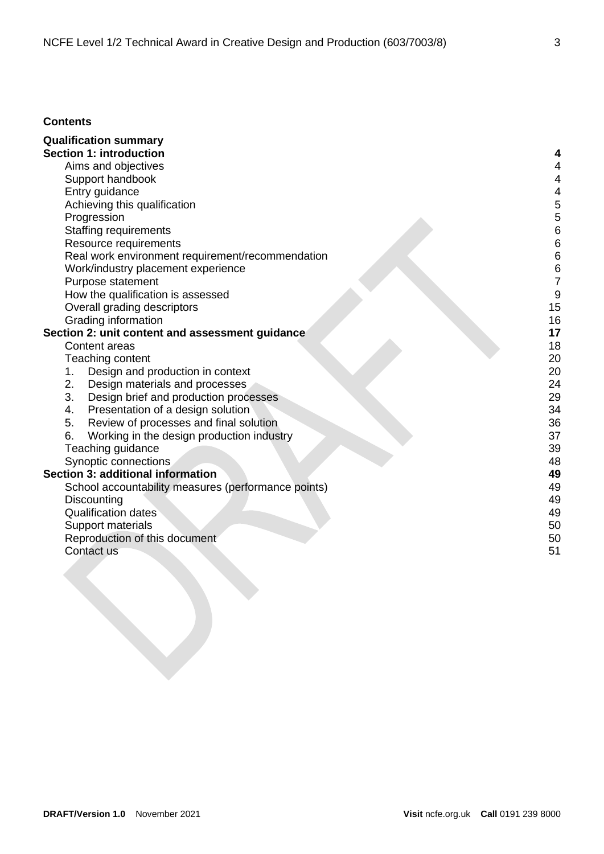## **Contents**

| <b>Qualification summary</b>                        |    |
|-----------------------------------------------------|----|
| <b>Section 1: introduction</b>                      |    |
| Aims and objectives                                 | 4  |
| Support handbook                                    | 4  |
| Entry guidance                                      | 4  |
| Achieving this qualification                        | 5  |
| Progression                                         | 5  |
| <b>Staffing requirements</b>                        | 6  |
| Resource requirements                               | 6  |
| Real work environment requirement/recommendation    | 6  |
| Work/industry placement experience                  | 6  |
| Purpose statement                                   | 7  |
| How the qualification is assessed                   | 9  |
| Overall grading descriptors                         | 15 |
| Grading information                                 | 16 |
| Section 2: unit content and assessment guidance     | 17 |
| Content areas                                       | 18 |
| Teaching content                                    | 20 |
| Design and production in context<br>1.              | 20 |
| 2.<br>Design materials and processes                | 24 |
| 3.<br>Design brief and production processes         | 29 |
| Presentation of a design solution<br>4.             | 34 |
| 5.<br>Review of processes and final solution        | 36 |
| 6.<br>Working in the design production industry     | 37 |
| Teaching guidance                                   | 39 |
| Synoptic connections                                | 48 |
| Section 3: additional information                   | 49 |
| School accountability measures (performance points) | 49 |
| Discounting                                         | 49 |
| <b>Qualification dates</b>                          | 49 |
| Support materials                                   | 50 |
| Reproduction of this document                       | 50 |
| Contact us                                          | 51 |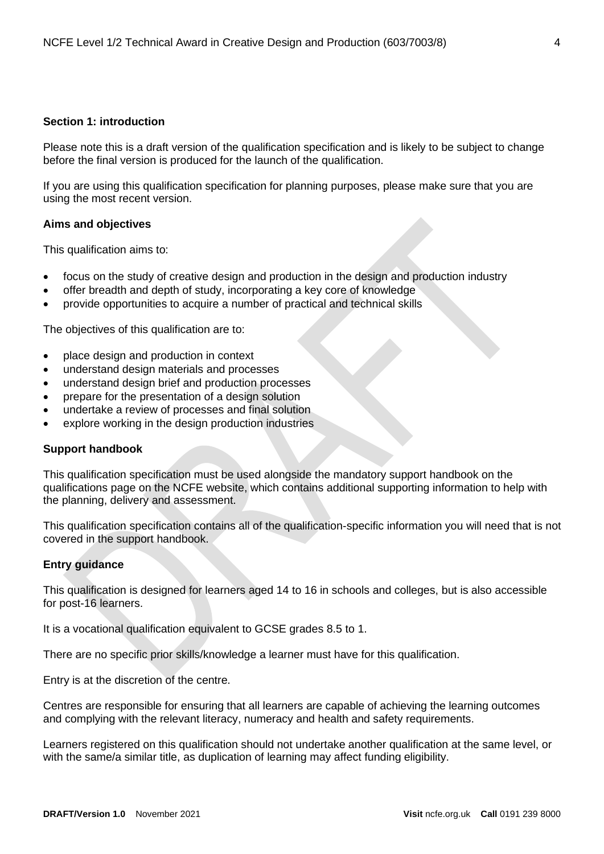## <span id="page-3-0"></span>**Section 1: introduction**

Please note this is a draft version of the qualification specification and is likely to be subject to change before the final version is produced for the launch of the qualification.

If you are using this qualification specification for planning purposes, please make sure that you are using the most recent version.

## <span id="page-3-1"></span>**Aims and objectives**

This qualification aims to:

- focus on the study of creative design and production in the design and production industry
- offer breadth and depth of study, incorporating a key core of knowledge
- provide opportunities to acquire a number of practical and technical skills

The objectives of this qualification are to:

- place design and production in context
- understand design materials and processes
- understand design brief and production processes
- prepare for the presentation of a design solution
- undertake a review of processes and final solution
- explore working in the design production industries

#### <span id="page-3-2"></span>**Support handbook**

This qualification specification must be used alongside the mandatory support handbook on the qualifications page on the NCFE website, which contains additional supporting information to help with the planning, delivery and assessment.

This qualification specification contains all of the qualification-specific information you will need that is not covered in the support handbook.

## <span id="page-3-3"></span>**Entry guidance**

This qualification is designed for learners aged 14 to 16 in schools and colleges, but is also accessible for post-16 learners.

It is a vocational qualification equivalent to GCSE grades 8.5 to 1.

There are no specific prior skills/knowledge a learner must have for this qualification.

Entry is at the discretion of the centre.

Centres are responsible for ensuring that all learners are capable of achieving the learning outcomes and complying with the relevant literacy, numeracy and health and safety requirements.

Learners registered on this qualification should not undertake another qualification at the same level, or with the same/a similar title, as duplication of learning may affect funding eligibility.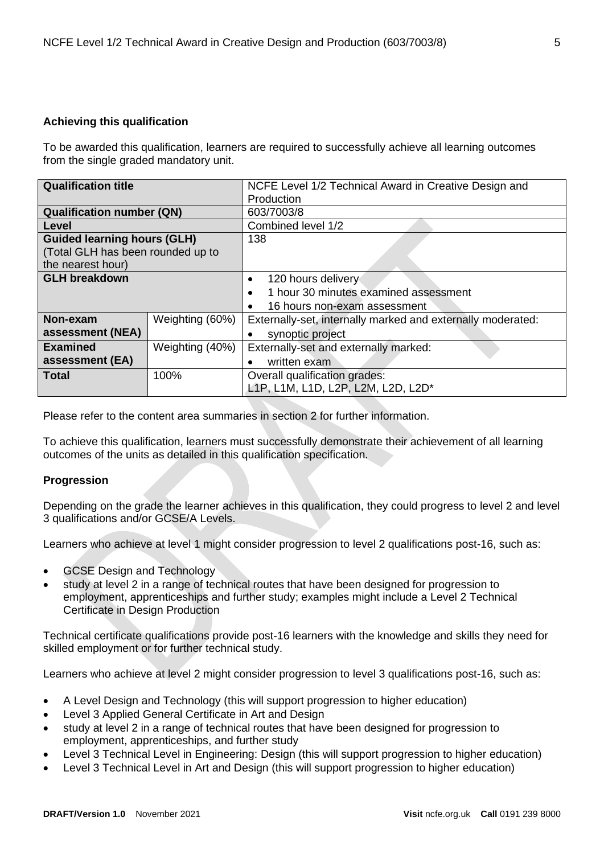## <span id="page-4-0"></span>**Achieving this qualification**

To be awarded this qualification, learners are required to successfully achieve all learning outcomes from the single graded mandatory unit.

| <b>Qualification title</b>         |                 | NCFE Level 1/2 Technical Award in Creative Design and       |  |
|------------------------------------|-----------------|-------------------------------------------------------------|--|
|                                    |                 | Production                                                  |  |
| <b>Qualification number (QN)</b>   |                 | 603/7003/8                                                  |  |
| Level                              |                 | Combined level 1/2                                          |  |
| <b>Guided learning hours (GLH)</b> |                 | 138                                                         |  |
| (Total GLH has been rounded up to  |                 |                                                             |  |
| the nearest hour)                  |                 |                                                             |  |
| <b>GLH breakdown</b>               |                 | 120 hours delivery<br>$\bullet$                             |  |
|                                    |                 | 1 hour 30 minutes examined assessment<br>$\bullet$          |  |
|                                    |                 | 16 hours non-exam assessment<br>$\bullet$                   |  |
| Non-exam                           | Weighting (60%) | Externally-set, internally marked and externally moderated: |  |
| assessment (NEA)                   |                 | synoptic project<br>$\bullet$                               |  |
| <b>Examined</b><br>Weighting (40%) |                 | Externally-set and externally marked:                       |  |
| assessment (EA)                    |                 | written exam                                                |  |
| <b>Total</b>                       | 100%            | Overall qualification grades:                               |  |
|                                    |                 | L1P, L1M, L1D, L2P, L2M, L2D, L2D*                          |  |

Please refer to the content area summaries in section 2 for further information.

To achieve this qualification, learners must successfully demonstrate their achievement of all learning outcomes of the units as detailed in this qualification specification.

## <span id="page-4-1"></span>**Progression**

Depending on the grade the learner achieves in this qualification, they could progress to level 2 and level 3 qualifications and/or GCSE/A Levels.

Learners who achieve at level 1 might consider progression to level 2 qualifications post-16, such as:

- GCSE Design and Technology
- study at level 2 in a range of technical routes that have been designed for progression to employment, apprenticeships and further study; examples might include a Level 2 Technical Certificate in Design Production

Technical certificate qualifications provide post-16 learners with the knowledge and skills they need for skilled employment or for further technical study.

Learners who achieve at level 2 might consider progression to level 3 qualifications post-16, such as:

- A Level Design and Technology (this will support progression to higher education)
- Level 3 Applied General Certificate in Art and Design
- study at level 2 in a range of technical routes that have been designed for progression to employment, apprenticeships, and further study
- Level 3 Technical Level in Engineering: Design (this will support progression to higher education)
- Level 3 Technical Level in Art and Design (this will support progression to higher education)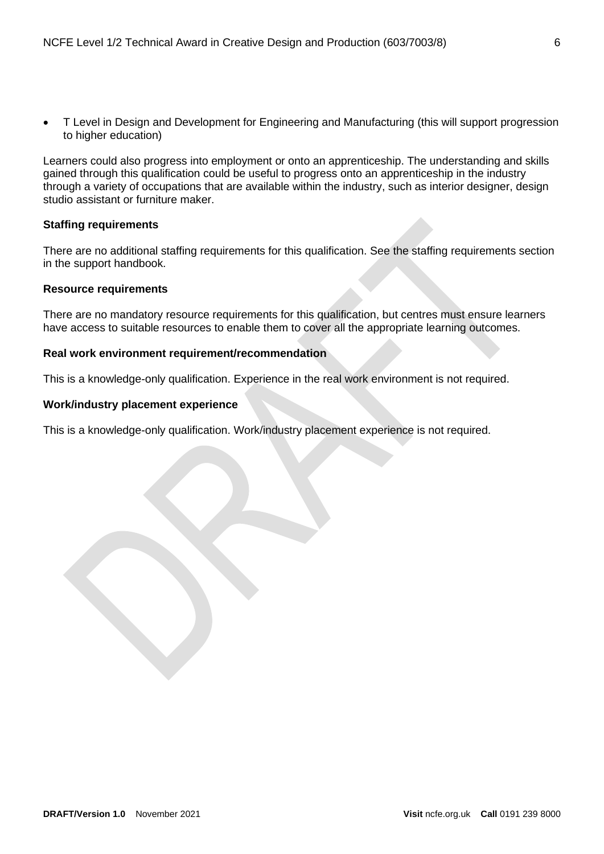• T Level in Design and Development for Engineering and Manufacturing (this will support progression to higher education)

Learners could also progress into employment or onto an apprenticeship. The understanding and skills gained through this qualification could be useful to progress onto an apprenticeship in the industry through a variety of occupations that are available within the industry, such as interior designer, design studio assistant or furniture maker.

## <span id="page-5-0"></span>**Staffing requirements**

There are no additional staffing requirements for this qualification. See the staffing requirements section in the support handbook.

## <span id="page-5-1"></span>**Resource requirements**

There are no mandatory resource requirements for this qualification, but centres must ensure learners have access to suitable resources to enable them to cover all the appropriate learning outcomes.

## <span id="page-5-2"></span>**Real work environment requirement/recommendation**

This is a knowledge-only qualification. Experience in the real work environment is not required.

## <span id="page-5-3"></span>**Work/industry placement experience**

This is a knowledge-only qualification. Work/industry placement experience is not required.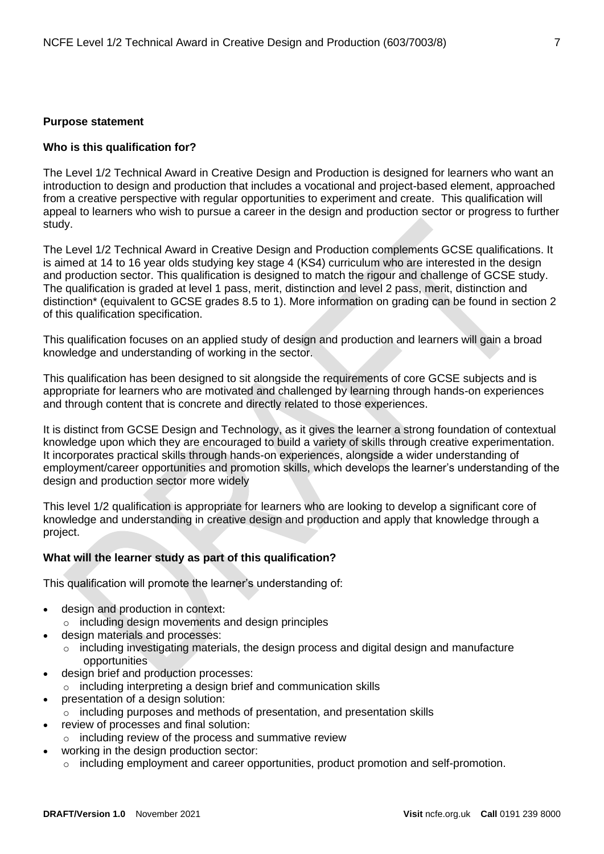#### <span id="page-6-0"></span>**Purpose statement**

#### **Who is this qualification for?**

The Level 1/2 Technical Award in Creative Design and Production is designed for learners who want an introduction to design and production that includes a vocational and project-based element, approached from a creative perspective with regular opportunities to experiment and create. This qualification will appeal to learners who wish to pursue a career in the design and production sector or progress to further study.

The Level 1/2 Technical Award in Creative Design and Production complements GCSE qualifications. It is aimed at 14 to 16 year olds studying key stage 4 (KS4) curriculum who are interested in the design and production sector. This qualification is designed to match the rigour and challenge of GCSE study. The qualification is graded at level 1 pass, merit, distinction and level 2 pass, merit, distinction and distinction\* (equivalent to GCSE grades 8.5 to 1). More information on grading can be found in section 2 of this qualification specification.

This qualification focuses on an applied study of design and production and learners will gain a broad knowledge and understanding of working in the sector.

This qualification has been designed to sit alongside the requirements of core GCSE subjects and is appropriate for learners who are motivated and challenged by learning through hands-on experiences and through content that is concrete and directly related to those experiences.

It is distinct from GCSE Design and Technology, as it gives the learner a strong foundation of contextual knowledge upon which they are encouraged to build a variety of skills through creative experimentation. It incorporates practical skills through hands-on experiences, alongside a wider understanding of employment/career opportunities and promotion skills, which develops the learner's understanding of the design and production sector more widely

This level 1/2 qualification is appropriate for learners who are looking to develop a significant core of knowledge and understanding in creative design and production and apply that knowledge through a project.

#### **What will the learner study as part of this qualification?**

This qualification will promote the learner's understanding of:

- design and production in context:
	- o including design movements and design principles
	- design materials and processes:
		- o including investigating materials, the design process and digital design and manufacture opportunities
- design brief and production processes:
- o including interpreting a design brief and communication skills
- presentation of a design solution:
	- $\circ$  including purposes and methods of presentation, and presentation skills
	- review of processes and final solution:
		- o including review of the process and summative review
- working in the design production sector:
	- $\circ$  including employment and career opportunities, product promotion and self-promotion.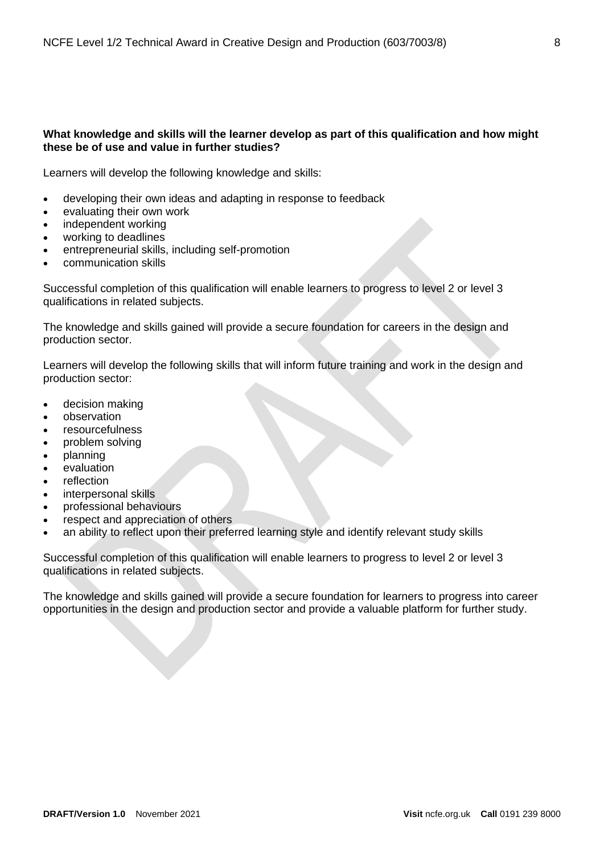## **What knowledge and skills will the learner develop as part of this qualification and how might these be of use and value in further studies?**

Learners will develop the following knowledge and skills:

- developing their own ideas and adapting in response to feedback
- evaluating their own work
- independent working
- working to deadlines
- entrepreneurial skills, including self-promotion
- communication skills

Successful completion of this qualification will enable learners to progress to level 2 or level 3 qualifications in related subjects.

The knowledge and skills gained will provide a secure foundation for careers in the design and production sector.

Learners will develop the following skills that will inform future training and work in the design and production sector:

- decision making
- observation
- resourcefulness
- problem solving
- planning
- evaluation
- reflection
- interpersonal skills
- professional behaviours
- respect and appreciation of others
- an ability to reflect upon their preferred learning style and identify relevant study skills

Successful completion of this qualification will enable learners to progress to level 2 or level 3 qualifications in related subjects.

The knowledge and skills gained will provide a secure foundation for learners to progress into career opportunities in the design and production sector and provide a valuable platform for further study.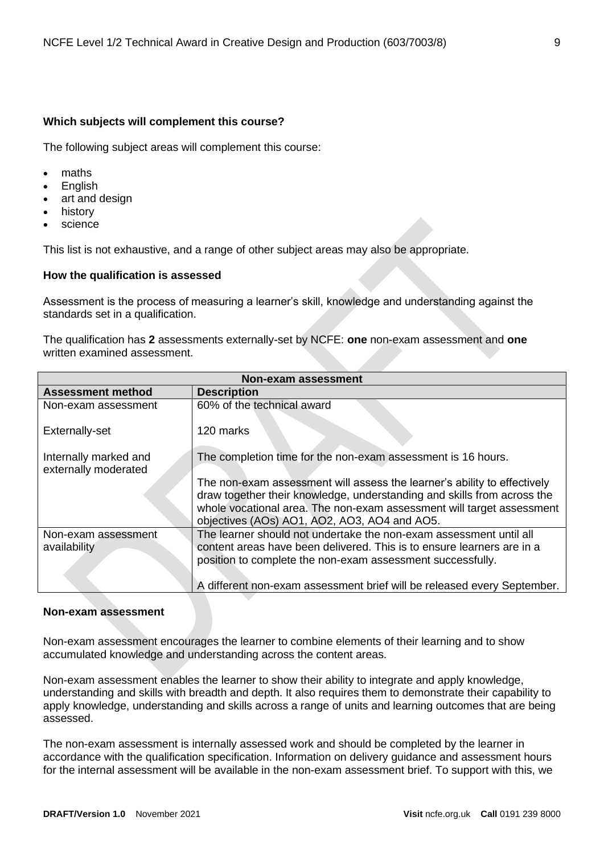## **Which subjects will complement this course?**

The following subject areas will complement this course:

- maths
- **English**
- art and design
- history
- science

This list is not exhaustive, and a range of other subject areas may also be appropriate.

## <span id="page-8-0"></span>**How the qualification is assessed**

Assessment is the process of measuring a learner's skill, knowledge and understanding against the standards set in a qualification.

The qualification has **2** assessments externally-set by NCFE: **one** non-exam assessment and **one** written examined assessment.

| <b>Non-exam assessment</b>                    |                                                                                                                       |  |  |
|-----------------------------------------------|-----------------------------------------------------------------------------------------------------------------------|--|--|
| <b>Assessment method</b>                      | <b>Description</b>                                                                                                    |  |  |
| Non-exam assessment                           | 60% of the technical award                                                                                            |  |  |
| Externally-set                                | 120 marks                                                                                                             |  |  |
| Internally marked and<br>externally moderated | The completion time for the non-exam assessment is 16 hours.                                                          |  |  |
|                                               | The non-exam assessment will assess the learner's ability to effectively                                              |  |  |
|                                               | draw together their knowledge, understanding and skills from across the                                               |  |  |
|                                               | whole vocational area. The non-exam assessment will target assessment<br>objectives (AOs) AO1, AO2, AO3, AO4 and AO5. |  |  |
| Non-exam assessment                           | The learner should not undertake the non-exam assessment until all                                                    |  |  |
| availability                                  | content areas have been delivered. This is to ensure learners are in a                                                |  |  |
|                                               | position to complete the non-exam assessment successfully.                                                            |  |  |
|                                               | A different non-exam assessment brief will be released every September.                                               |  |  |

## **Non-exam assessment**

Non-exam assessment encourages the learner to combine elements of their learning and to show accumulated knowledge and understanding across the content areas.

Non-exam assessment enables the learner to show their ability to integrate and apply knowledge, understanding and skills with breadth and depth. It also requires them to demonstrate their capability to apply knowledge, understanding and skills across a range of units and learning outcomes that are being assessed.

The non-exam assessment is internally assessed work and should be completed by the learner in accordance with the qualification specification. Information on delivery guidance and assessment hours for the internal assessment will be available in the non-exam assessment brief. To support with this, we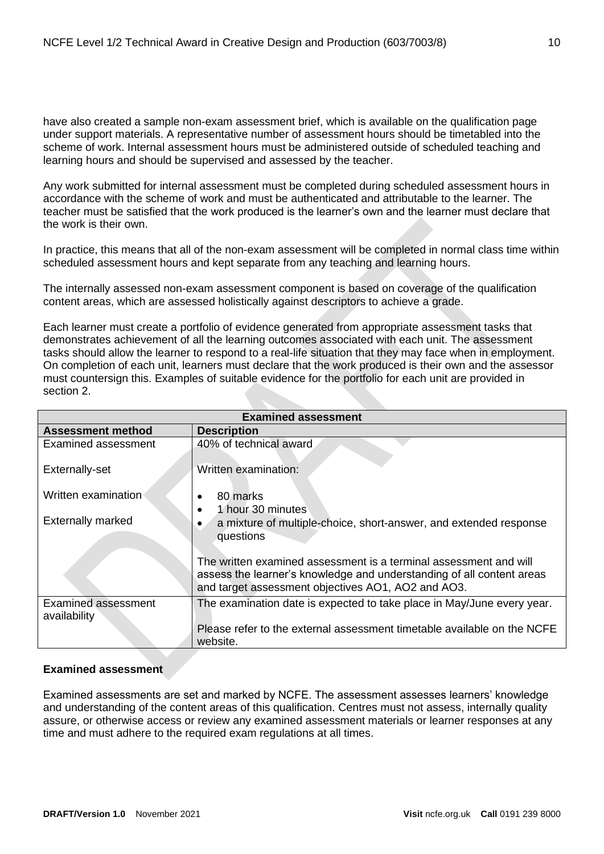have also created a sample non-exam assessment brief, which is available on the qualification page under support materials. A representative number of assessment hours should be timetabled into the scheme of work. Internal assessment hours must be administered outside of scheduled teaching and learning hours and should be supervised and assessed by the teacher.

Any work submitted for internal assessment must be completed during scheduled assessment hours in accordance with the scheme of work and must be authenticated and attributable to the learner. The teacher must be satisfied that the work produced is the learner's own and the learner must declare that the work is their own.

In practice, this means that all of the non-exam assessment will be completed in normal class time within scheduled assessment hours and kept separate from any teaching and learning hours.

The internally assessed non-exam assessment component is based on coverage of the qualification content areas, which are assessed holistically against descriptors to achieve a grade.

Each learner must create a portfolio of evidence generated from appropriate assessment tasks that demonstrates achievement of all the learning outcomes associated with each unit. The assessment tasks should allow the learner to respond to a real-life situation that they may face when in employment. On completion of each unit, learners must declare that the work produced is their own and the assessor must countersign this. Examples of suitable evidence for the portfolio for each unit are provided in section 2.

| <b>Examined assessment</b>          |                                                                                                                                                                                                  |  |  |  |
|-------------------------------------|--------------------------------------------------------------------------------------------------------------------------------------------------------------------------------------------------|--|--|--|
| <b>Assessment method</b>            | <b>Description</b>                                                                                                                                                                               |  |  |  |
| Examined assessment                 | 40% of technical award                                                                                                                                                                           |  |  |  |
| Externally-set                      | Written examination:                                                                                                                                                                             |  |  |  |
| Written examination                 | 80 marks                                                                                                                                                                                         |  |  |  |
| <b>Externally marked</b>            | 1 hour 30 minutes<br>a mixture of multiple-choice, short-answer, and extended response<br>questions                                                                                              |  |  |  |
|                                     | The written examined assessment is a terminal assessment and will<br>assess the learner's knowledge and understanding of all content areas<br>and target assessment objectives AO1, AO2 and AO3. |  |  |  |
| Examined assessment<br>availability | The examination date is expected to take place in May/June every year.                                                                                                                           |  |  |  |
|                                     | Please refer to the external assessment timetable available on the NCFE<br>website.                                                                                                              |  |  |  |

## **Examined assessment**

Examined assessments are set and marked by NCFE. The assessment assesses learners' knowledge and understanding of the content areas of this qualification. Centres must not assess, internally quality assure, or otherwise access or review any examined assessment materials or learner responses at any time and must adhere to the required exam regulations at all times.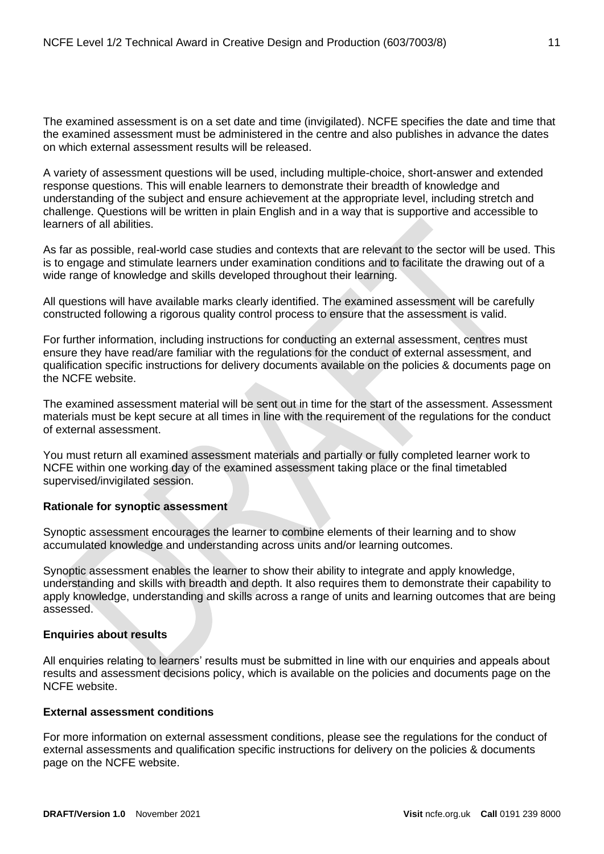The examined assessment is on a set date and time (invigilated). NCFE specifies the date and time that the examined assessment must be administered in the centre and also publishes in advance the dates on which external assessment results will be released.

A variety of assessment questions will be used, including multiple-choice, short-answer and extended response questions. This will enable learners to demonstrate their breadth of knowledge and understanding of the subject and ensure achievement at the appropriate level, including stretch and challenge. Questions will be written in plain English and in a way that is supportive and accessible to learners of all abilities.

As far as possible, real-world case studies and contexts that are relevant to the sector will be used. This is to engage and stimulate learners under examination conditions and to facilitate the drawing out of a wide range of knowledge and skills developed throughout their learning.

All questions will have available marks clearly identified. The examined assessment will be carefully constructed following a rigorous quality control process to ensure that the assessment is valid.

For further information, including instructions for conducting an external assessment, centres must ensure they have read/are familiar with the regulations for the conduct of external assessment, and qualification specific instructions for delivery documents available on the policies & documents page on the NCFE website.

The examined assessment material will be sent out in time for the start of the assessment. Assessment materials must be kept secure at all times in line with the requirement of the regulations for the conduct of external assessment.

You must return all examined assessment materials and partially or fully completed learner work to NCFE within one working day of the examined assessment taking place or the final timetabled supervised/invigilated session.

## **Rationale for synoptic assessment**

Synoptic assessment encourages the learner to combine elements of their learning and to show accumulated knowledge and understanding across units and/or learning outcomes.

Synoptic assessment enables the learner to show their ability to integrate and apply knowledge, understanding and skills with breadth and depth. It also requires them to demonstrate their capability to apply knowledge, understanding and skills across a range of units and learning outcomes that are being assessed.

## **Enquiries about results**

All enquiries relating to learners' results must be submitted in line with our enquiries and appeals about results and assessment decisions policy, which is available on the policies and documents page on the NCFE website.

## **External assessment conditions**

For more information on external assessment conditions, please see the regulations for the conduct of external assessments and qualification specific instructions for delivery on the policies & documents page on the NCFE website.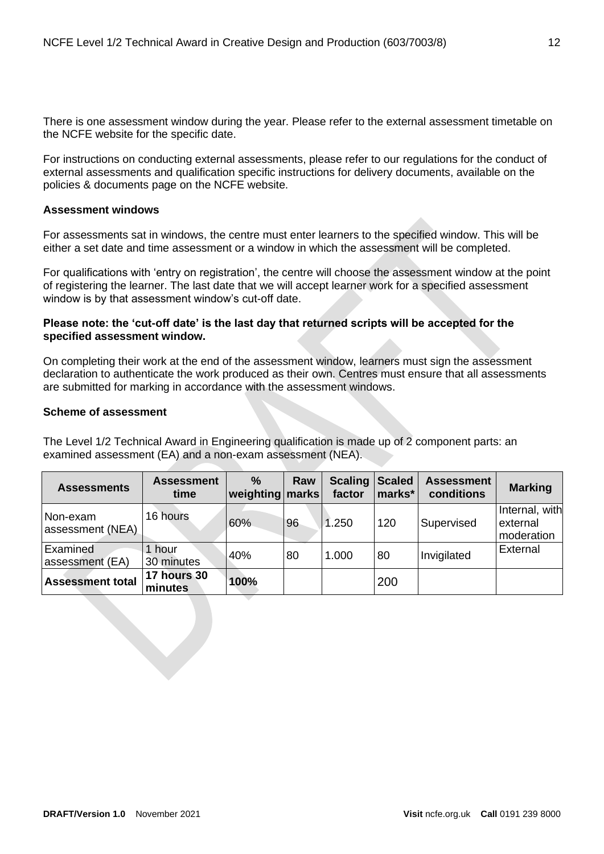There is one assessment window during the year. Please refer to the external assessment timetable on the NCFE website for the specific date.

For instructions on conducting external assessments, please refer to our regulations for the conduct of external assessments and qualification specific instructions for delivery documents, available on the policies & documents page on the NCFE website.

## **Assessment windows**

For assessments sat in windows, the centre must enter learners to the specified window. This will be either a set date and time assessment or a window in which the assessment will be completed.

For qualifications with 'entry on registration', the centre will choose the assessment window at the point of registering the learner. The last date that we will accept learner work for a specified assessment window is by that assessment window's cut-off date.

## **Please note: the 'cut-off date' is the last day that returned scripts will be accepted for the specified assessment window.**

On completing their work at the end of the assessment window, learners must sign the assessment declaration to authenticate the work produced as their own. Centres must ensure that all assessments are submitted for marking in accordance with the assessment windows.

## **Scheme of assessment**

The Level 1/2 Technical Award in Engineering qualification is made up of 2 component parts: an examined assessment (EA) and a non-exam assessment (NEA).

| <b>Assessments</b>           | <b>Assessment</b><br>time     | $\%$<br>weighting marks | Raw | <b>Scaling</b><br>factor | Scaled<br>marks* | <b>Assessment</b><br>conditions | <b>Marking</b>                           |
|------------------------------|-------------------------------|-------------------------|-----|--------------------------|------------------|---------------------------------|------------------------------------------|
| Non-exam<br>assessment (NEA) | 16 hours                      | 60%                     | 96  | 1.250                    | 120              | Supervised                      | Internal, with<br>external<br>moderation |
| Examined<br>assessment (EA)  | 1 hour<br>30 minutes          | 40%                     | 80  | 1.000                    | 80               | Invigilated                     | External                                 |
| <b>Assessment total</b>      | <b>17 hours 30</b><br>minutes | 100%                    |     |                          | 200              |                                 |                                          |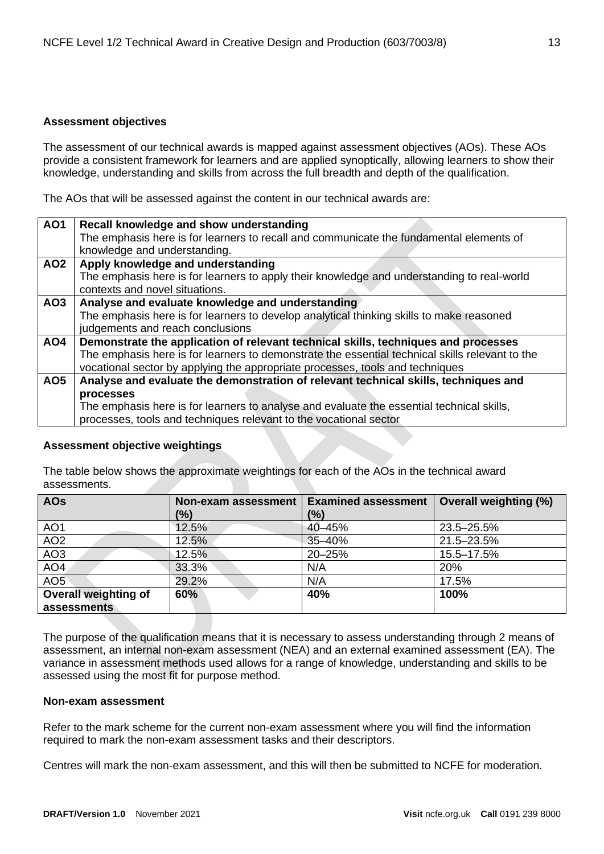## **Assessment objectives**

The assessment of our technical awards is mapped against assessment objectives (AOs). These AOs provide a consistent framework for learners and are applied synoptically, allowing learners to show their knowledge, understanding and skills from across the full breadth and depth of the qualification.

The AOs that will be assessed against the content in our technical awards are:

| <b>AO1</b>      | Recall knowledge and show understanding                                                         |
|-----------------|-------------------------------------------------------------------------------------------------|
|                 | The emphasis here is for learners to recall and communicate the fundamental elements of         |
|                 | knowledge and understanding.                                                                    |
|                 |                                                                                                 |
| AO <sub>2</sub> | Apply knowledge and understanding                                                               |
|                 | The emphasis here is for learners to apply their knowledge and understanding to real-world      |
|                 | contexts and novel situations.                                                                  |
| AO3             | Analyse and evaluate knowledge and understanding                                                |
|                 | The emphasis here is for learners to develop analytical thinking skills to make reasoned        |
|                 | judgements and reach conclusions                                                                |
| AO4             | Demonstrate the application of relevant technical skills, techniques and processes              |
|                 | The emphasis here is for learners to demonstrate the essential technical skills relevant to the |
|                 | vocational sector by applying the appropriate processes, tools and techniques                   |
| AO <sub>5</sub> | Analyse and evaluate the demonstration of relevant technical skills, techniques and             |
|                 | processes                                                                                       |
|                 | The emphasis here is for learners to analyse and evaluate the essential technical skills,       |
|                 | processes, tools and techniques relevant to the vocational sector                               |

## **Assessment objective weightings**

The table below shows the approximate weightings for each of the AOs in the technical award assessments.

| <b>AOs</b>                  | Non-exam assessment | <b>Examined assessment</b> | <b>Overall weighting (%)</b> |  |
|-----------------------------|---------------------|----------------------------|------------------------------|--|
|                             | (%)                 | $\frac{10}{6}$             |                              |  |
| AO <sub>1</sub>             | 12.5%               | 40-45%                     | 23.5-25.5%                   |  |
| AO <sub>2</sub>             | 12.5%               | 35-40%                     | 21.5-23.5%                   |  |
| AO <sub>3</sub>             | 12.5%               | 20-25%                     | 15.5-17.5%                   |  |
| AO <sub>4</sub>             | 33.3%               | N/A                        | 20%                          |  |
| AO <sub>5</sub>             | 29.2%               | N/A                        | 17.5%                        |  |
| <b>Overall weighting of</b> | 60%                 | 40%                        | 100%                         |  |
| assessments                 |                     |                            |                              |  |

The purpose of the qualification means that it is necessary to assess understanding through 2 means of assessment, an internal non-exam assessment (NEA) and an external examined assessment (EA). The variance in assessment methods used allows for a range of knowledge, understanding and skills to be assessed using the most fit for purpose method.

## **Non-exam assessment**

Refer to the mark scheme for the current non-exam assessment where you will find the information required to mark the non-exam assessment tasks and their descriptors.

Centres will mark the non-exam assessment, and this will then be submitted to NCFE for moderation.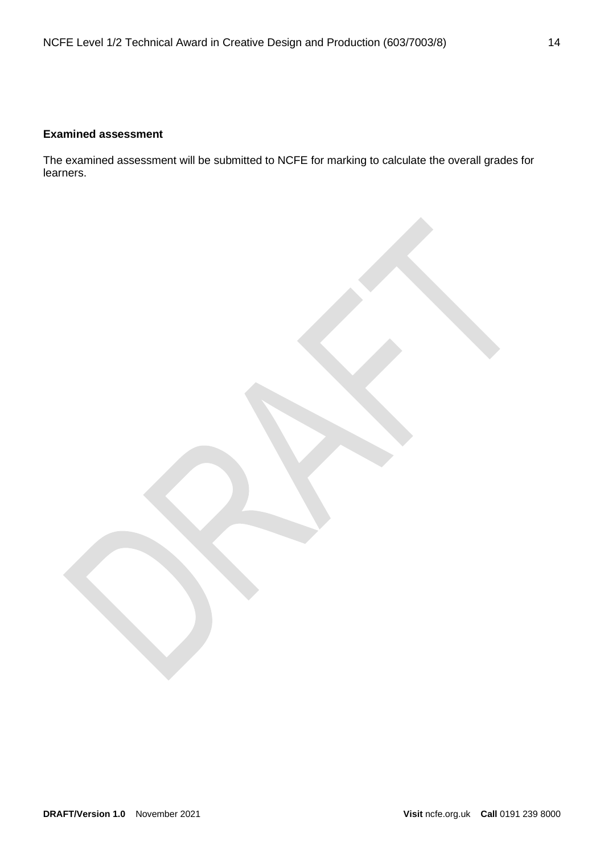## **Examined assessment**

The examined assessment will be submitted to NCFE for marking to calculate the overall grades for learners.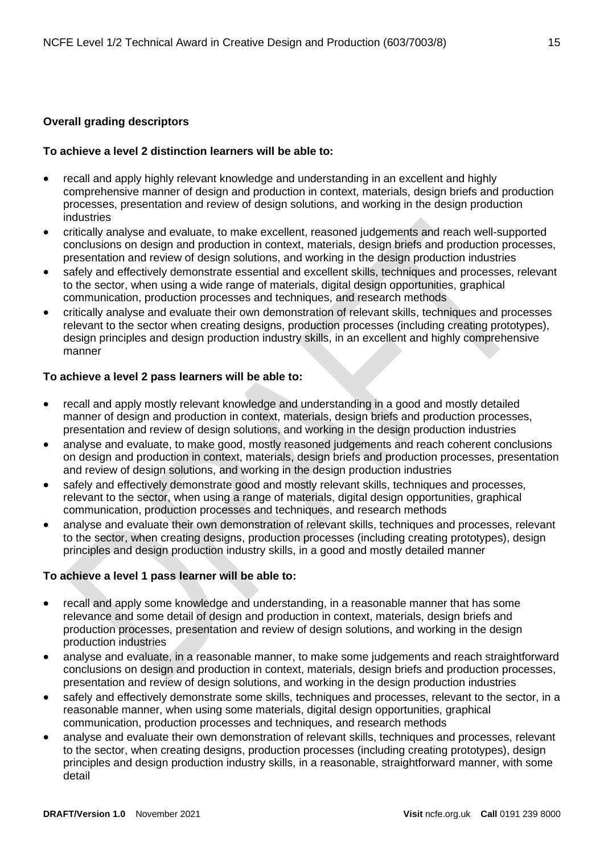## <span id="page-14-0"></span>**Overall grading descriptors**

## **To achieve a level 2 distinction learners will be able to:**

- recall and apply highly relevant knowledge and understanding in an excellent and highly comprehensive manner of design and production in context, materials, design briefs and production processes, presentation and review of design solutions, and working in the design production industries
- critically analyse and evaluate, to make excellent, reasoned judgements and reach well-supported conclusions on design and production in context, materials, design briefs and production processes, presentation and review of design solutions, and working in the design production industries
- safely and effectively demonstrate essential and excellent skills, techniques and processes, relevant to the sector, when using a wide range of materials, digital design opportunities, graphical communication, production processes and techniques, and research methods
- critically analyse and evaluate their own demonstration of relevant skills, techniques and processes relevant to the sector when creating designs, production processes (including creating prototypes), design principles and design production industry skills, in an excellent and highly comprehensive manner

## **To achieve a level 2 pass learners will be able to:**

- recall and apply mostly relevant knowledge and understanding in a good and mostly detailed manner of design and production in context, materials, design briefs and production processes, presentation and review of design solutions, and working in the design production industries
- analyse and evaluate, to make good, mostly reasoned judgements and reach coherent conclusions on design and production in context, materials, design briefs and production processes, presentation and review of design solutions, and working in the design production industries
- safely and effectively demonstrate good and mostly relevant skills, techniques and processes. relevant to the sector, when using a range of materials, digital design opportunities, graphical communication, production processes and techniques, and research methods
- analyse and evaluate their own demonstration of relevant skills, techniques and processes, relevant to the sector, when creating designs, production processes (including creating prototypes), design principles and design production industry skills, in a good and mostly detailed manner

## **To achieve a level 1 pass learner will be able to:**

- recall and apply some knowledge and understanding, in a reasonable manner that has some relevance and some detail of design and production in context, materials, design briefs and production processes, presentation and review of design solutions, and working in the design production industries
- analyse and evaluate, in a reasonable manner, to make some judgements and reach straightforward conclusions on design and production in context, materials, design briefs and production processes, presentation and review of design solutions, and working in the design production industries
- safely and effectively demonstrate some skills, techniques and processes, relevant to the sector, in a reasonable manner, when using some materials, digital design opportunities, graphical communication, production processes and techniques, and research methods
- analyse and evaluate their own demonstration of relevant skills, techniques and processes, relevant to the sector, when creating designs, production processes (including creating prototypes), design principles and design production industry skills, in a reasonable, straightforward manner, with some detail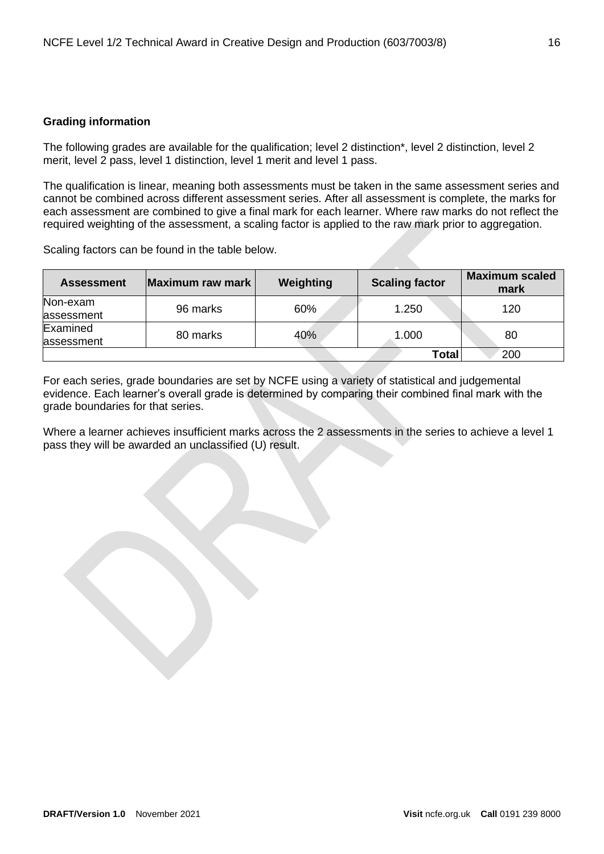## <span id="page-15-0"></span>**Grading information**

The following grades are available for the qualification; level 2 distinction\*, level 2 distinction, level 2 merit, level 2 pass, level 1 distinction, level 1 merit and level 1 pass.

The qualification is linear, meaning both assessments must be taken in the same assessment series and cannot be combined across different assessment series. After all assessment is complete, the marks for each assessment are combined to give a final mark for each learner. Where raw marks do not reflect the required weighting of the assessment, a scaling factor is applied to the raw mark prior to aggregation.

Scaling factors can be found in the table below.

| <b>Assessment</b> | Maximum raw mark | Weighting | <b>Scaling factor</b> | <b>Maximum scaled</b><br>mark |
|-------------------|------------------|-----------|-----------------------|-------------------------------|
| Non-exam          | 96 marks         | 60%       | 1.250                 | 120                           |
| assessment        |                  |           |                       |                               |
| Examined          | 80 marks         | 40%       | 1.000                 | 80                            |
| assessment        |                  |           |                       |                               |
|                   |                  |           | Total                 | 200                           |

For each series, grade boundaries are set by NCFE using a variety of statistical and judgemental evidence. Each learner's overall grade is determined by comparing their combined final mark with the grade boundaries for that series.

Where a learner achieves insufficient marks across the 2 assessments in the series to achieve a level 1 pass they will be awarded an unclassified (U) result.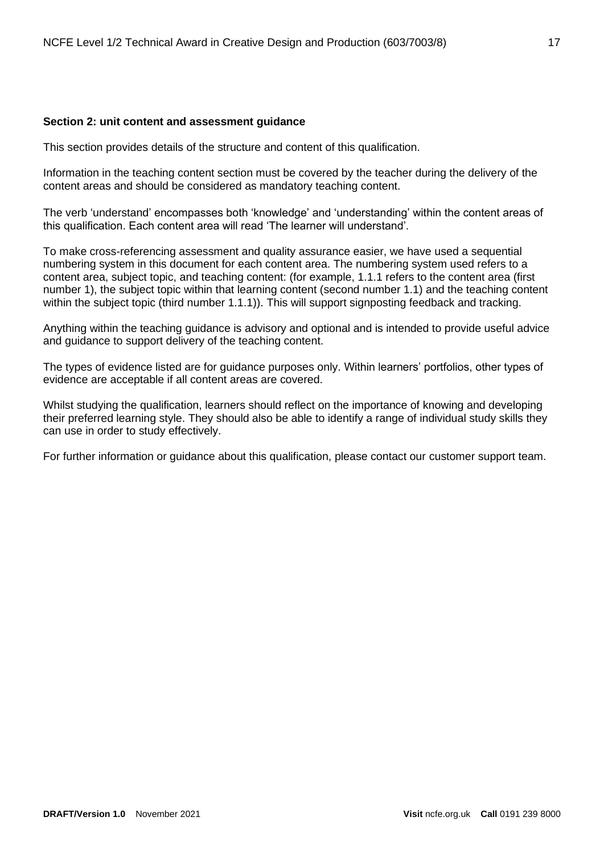#### <span id="page-16-0"></span>**Section 2: unit content and assessment guidance**

This section provides details of the structure and content of this qualification.

Information in the teaching content section must be covered by the teacher during the delivery of the content areas and should be considered as mandatory teaching content.

The verb 'understand' encompasses both 'knowledge' and 'understanding' within the content areas of this qualification. Each content area will read 'The learner will understand'.

To make cross-referencing assessment and quality assurance easier, we have used a sequential numbering system in this document for each content area. The numbering system used refers to a content area, subject topic, and teaching content: (for example, 1.1.1 refers to the content area (first number 1), the subject topic within that learning content (second number 1.1) and the teaching content within the subject topic (third number 1.1.1)). This will support signposting feedback and tracking.

Anything within the teaching guidance is advisory and optional and is intended to provide useful advice and guidance to support delivery of the teaching content.

The types of evidence listed are for guidance purposes only. Within learners' portfolios, other types of evidence are acceptable if all content areas are covered.

Whilst studying the qualification, learners should reflect on the importance of knowing and developing their preferred learning style. They should also be able to identify a range of individual study skills they can use in order to study effectively.

For further information or guidance about this qualification, please contact our customer support team.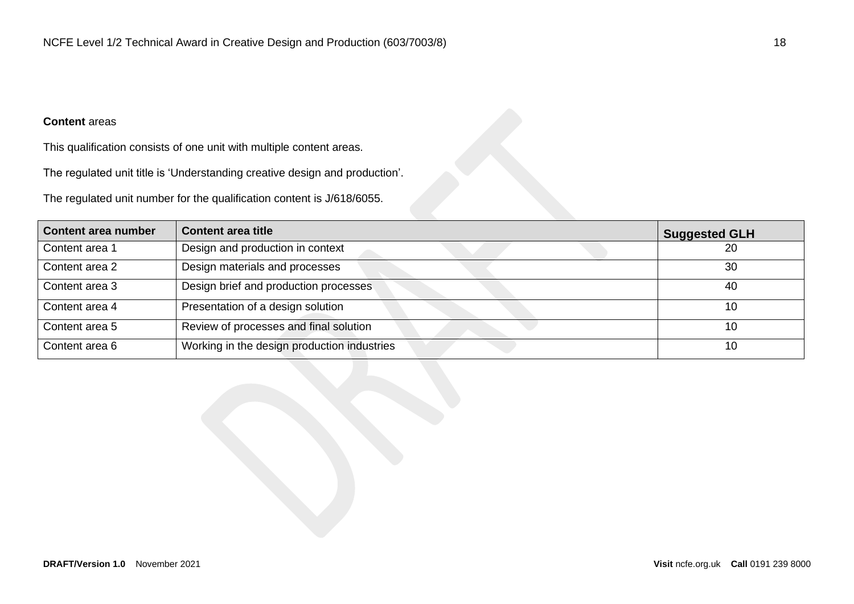# **Content** areas

This qualification consists of one unit with multiple content areas.

The regulated unit title is 'Understanding creative design and production'.

The regulated unit number for the qualification content is J/618/6055.

<span id="page-17-0"></span>

| <b>Content area number</b> | <b>Content area title</b>                   | <b>Suggested GLH</b> |
|----------------------------|---------------------------------------------|----------------------|
| Content area 1             | Design and production in context            | 20                   |
| Content area 2             | Design materials and processes              | 30                   |
| Content area 3             | Design brief and production processes       | 40                   |
| Content area 4             | Presentation of a design solution           | 10                   |
| Content area 5             | Review of processes and final solution      | 10                   |
| Content area 6             | Working in the design production industries | 10                   |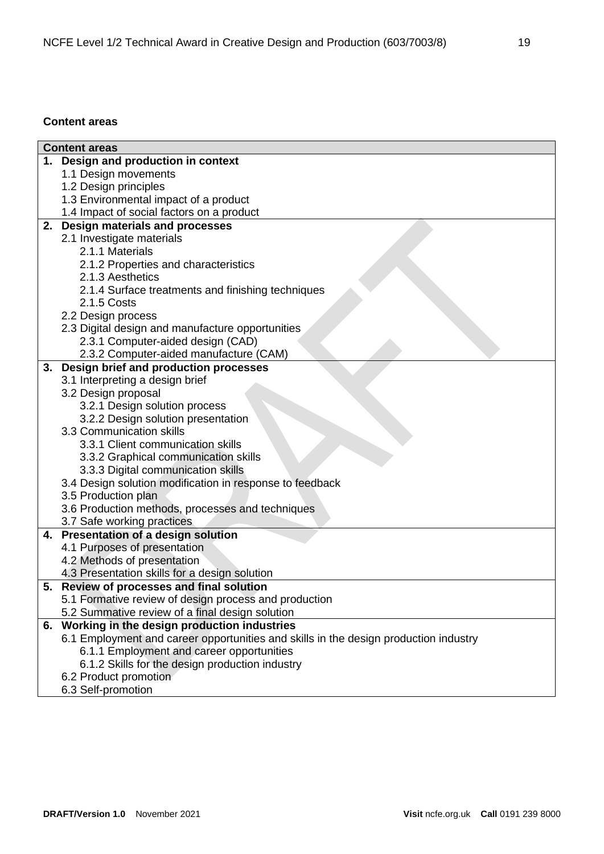## **Content areas**

| <b>Content areas</b>                                                                 |
|--------------------------------------------------------------------------------------|
| 1. Design and production in context                                                  |
| 1.1 Design movements                                                                 |
| 1.2 Design principles                                                                |
| 1.3 Environmental impact of a product                                                |
| 1.4 Impact of social factors on a product                                            |
| 2. Design materials and processes                                                    |
| 2.1 Investigate materials                                                            |
| 2.1.1 Materials                                                                      |
| 2.1.2 Properties and characteristics                                                 |
| 2.1.3 Aesthetics                                                                     |
| 2.1.4 Surface treatments and finishing techniques                                    |
| 2.1.5 Costs                                                                          |
| 2.2 Design process                                                                   |
| 2.3 Digital design and manufacture opportunities                                     |
| 2.3.1 Computer-aided design (CAD)                                                    |
| 2.3.2 Computer-aided manufacture (CAM)                                               |
| 3. Design brief and production processes                                             |
| 3.1 Interpreting a design brief                                                      |
| 3.2 Design proposal                                                                  |
| 3.2.1 Design solution process                                                        |
| 3.2.2 Design solution presentation                                                   |
| 3.3 Communication skills                                                             |
| 3.3.1 Client communication skills                                                    |
| 3.3.2 Graphical communication skills                                                 |
| 3.3.3 Digital communication skills                                                   |
| 3.4 Design solution modification in response to feedback                             |
| 3.5 Production plan                                                                  |
| 3.6 Production methods, processes and techniques                                     |
| 3.7 Safe working practices                                                           |
| 4. Presentation of a design solution<br>4.1 Purposes of presentation                 |
| 4.2 Methods of presentation                                                          |
| 4.3 Presentation skills for a design solution                                        |
| 5. Review of processes and final solution                                            |
| 5.1 Formative review of design process and production                                |
| 5.2 Summative review of a final design solution                                      |
| 6. Working in the design production industries                                       |
| 6.1 Employment and career opportunities and skills in the design production industry |
| 6.1.1 Employment and career opportunities                                            |
| 6.1.2 Skills for the design production industry                                      |
| 6.2 Product promotion                                                                |
| 6.3 Self-promotion                                                                   |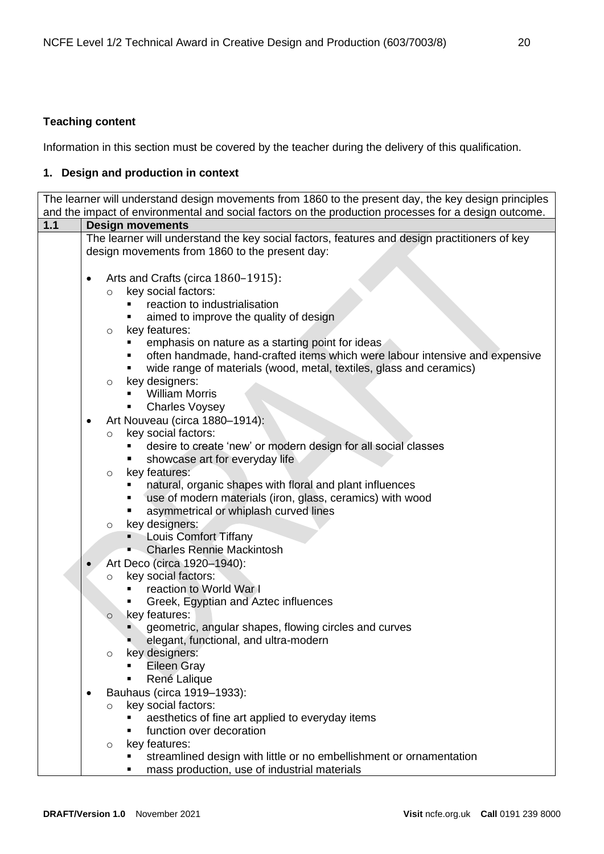# <span id="page-19-0"></span>**Teaching content**

Information in this section must be covered by the teacher during the delivery of this qualification.

# <span id="page-19-1"></span>**1. Design and production in context**

|       |                                                                                                      | The learner will understand design movements from 1860 to the present day, the key design principles |  |  |  |
|-------|------------------------------------------------------------------------------------------------------|------------------------------------------------------------------------------------------------------|--|--|--|
|       | and the impact of environmental and social factors on the production processes for a design outcome. |                                                                                                      |  |  |  |
| $1.1$ | <b>Design movements</b>                                                                              |                                                                                                      |  |  |  |
|       | The learner will understand the key social factors, features and design practitioners of key         |                                                                                                      |  |  |  |
|       | design movements from 1860 to the present day:                                                       |                                                                                                      |  |  |  |
|       |                                                                                                      |                                                                                                      |  |  |  |
|       | ٠                                                                                                    | Arts and Crafts (circa 1860-1915):                                                                   |  |  |  |
|       |                                                                                                      | key social factors:<br>$\circ$<br>reaction to industrialisation                                      |  |  |  |
|       |                                                                                                      | ٠<br>٠                                                                                               |  |  |  |
|       |                                                                                                      | aimed to improve the quality of design<br>key features:                                              |  |  |  |
|       |                                                                                                      | $\circ$<br>emphasis on nature as a starting point for ideas                                          |  |  |  |
|       |                                                                                                      | often handmade, hand-crafted items which were labour intensive and expensive                         |  |  |  |
|       |                                                                                                      | wide range of materials (wood, metal, textiles, glass and ceramics)                                  |  |  |  |
|       |                                                                                                      | key designers:<br>$\circ$                                                                            |  |  |  |
|       |                                                                                                      | <b>William Morris</b>                                                                                |  |  |  |
|       |                                                                                                      | <b>Charles Voysey</b>                                                                                |  |  |  |
|       | ٠                                                                                                    | Art Nouveau (circa 1880-1914):                                                                       |  |  |  |
|       |                                                                                                      | key social factors:<br>$\circ$                                                                       |  |  |  |
|       |                                                                                                      | desire to create 'new' or modern design for all social classes                                       |  |  |  |
|       |                                                                                                      | showcase art for everyday life                                                                       |  |  |  |
|       |                                                                                                      | key features:<br>$\circ$                                                                             |  |  |  |
|       |                                                                                                      | natural, organic shapes with floral and plant influences                                             |  |  |  |
|       |                                                                                                      | use of modern materials (iron, glass, ceramics) with wood<br>٠                                       |  |  |  |
|       |                                                                                                      | asymmetrical or whiplash curved lines                                                                |  |  |  |
|       |                                                                                                      | key designers:<br>$\circ$                                                                            |  |  |  |
|       |                                                                                                      | <b>Louis Comfort Tiffany</b>                                                                         |  |  |  |
|       |                                                                                                      | <b>Charles Rennie Mackintosh</b>                                                                     |  |  |  |
|       |                                                                                                      | Art Deco (circa 1920-1940):                                                                          |  |  |  |
|       |                                                                                                      | key social factors:<br>$\circ$                                                                       |  |  |  |
|       |                                                                                                      | reaction to World War I                                                                              |  |  |  |
|       |                                                                                                      | Greek, Egyptian and Aztec influences                                                                 |  |  |  |
|       |                                                                                                      | key features:<br>$\circ$                                                                             |  |  |  |
|       |                                                                                                      | geometric, angular shapes, flowing circles and curves                                                |  |  |  |
|       |                                                                                                      | elegant, functional, and ultra-modern                                                                |  |  |  |
|       |                                                                                                      | key designers:<br>$\circ$                                                                            |  |  |  |
|       |                                                                                                      | <b>Eileen Gray</b>                                                                                   |  |  |  |
|       |                                                                                                      | René Lalique                                                                                         |  |  |  |
|       | ٠                                                                                                    | Bauhaus (circa 1919-1933):                                                                           |  |  |  |
|       |                                                                                                      | key social factors:<br>$\circ$                                                                       |  |  |  |
|       |                                                                                                      | aesthetics of fine art applied to everyday items                                                     |  |  |  |
|       |                                                                                                      | function over decoration<br>٠                                                                        |  |  |  |
|       |                                                                                                      | key features:<br>$\circ$                                                                             |  |  |  |
|       |                                                                                                      | streamlined design with little or no embellishment or ornamentation                                  |  |  |  |

■ mass production, use of industrial materials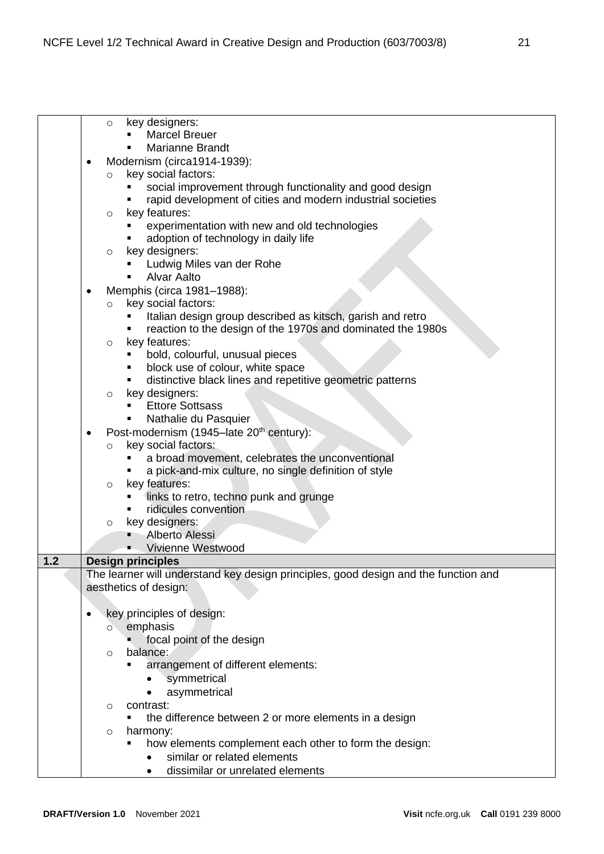- o key designers: **Marcel Breuer** Marianne Brandt • Modernism (circa1914-1939): o key social factors: ■ social improvement through functionality and good design rapid development of cities and modern industrial societies o key features: experimentation with new and old technologies adoption of technology in daily life o key designers: ▪ Ludwig Miles van der Rohe Alvar Aalto • Memphis (circa 1981–1988): o key social factors: Italian design group described as kitsch, garish and retro reaction to the design of the 1970s and dominated the 1980s o key features: ■ bold, colourful, unusual pieces block use of colour, white space distinctive black lines and repetitive geometric patterns o key designers: ■ Ettore Sottsass Nathalie du Pasquier Post-modernism (1945–late 20<sup>th</sup> century): key social factors: ■ a broad movement, celebrates the unconventional a pick-and-mix culture, no single definition of style o key features: **.** links to retro, techno punk and grunge **·** ridicules convention o key designers: Alberto Alessi Vivienne Westwood **1.2 Design principles**  The learner will understand key design principles, good design and the function and aesthetics of design: • key principles of design: o emphasis focal point of the design o balance: **■** arrangement of different elements: • symmetrical asymmetrical o contrast: the difference between 2 or more elements in a design o harmony: how elements complement each other to form the design: • similar or related elements
	- dissimilar or unrelated elements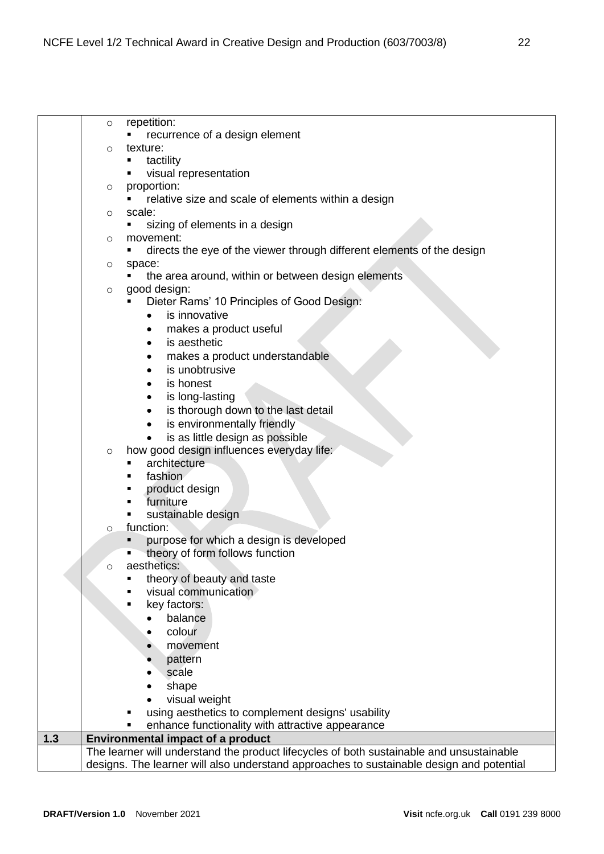|     | $\circ$ | repetition:                                                                              |
|-----|---------|------------------------------------------------------------------------------------------|
|     |         | recurrence of a design element                                                           |
|     | $\circ$ | texture:                                                                                 |
|     |         | tactility                                                                                |
|     |         | visual representation                                                                    |
|     | O       | proportion:                                                                              |
|     |         | relative size and scale of elements within a design                                      |
|     | $\circ$ | scale:                                                                                   |
|     |         | sizing of elements in a design<br>٠                                                      |
|     | $\circ$ | movement:                                                                                |
|     |         | directs the eye of the viewer through different elements of the design<br>٠              |
|     | O       | space:                                                                                   |
|     |         | the area around, within or between design elements                                       |
|     | $\circ$ | good design:                                                                             |
|     |         | Dieter Rams' 10 Principles of Good Design:                                               |
|     |         | is innovative<br>$\bullet$                                                               |
|     |         | makes a product useful                                                                   |
|     |         | is aesthetic                                                                             |
|     |         | makes a product understandable                                                           |
|     |         | is unobtrusive                                                                           |
|     |         | is honest                                                                                |
|     |         | is long-lasting<br>٠                                                                     |
|     |         | is thorough down to the last detail<br>٠                                                 |
|     |         | is environmentally friendly<br>$\bullet$                                                 |
|     |         | is as little design as possible<br>$\bullet$                                             |
|     | $\circ$ | how good design influences everyday life:                                                |
|     |         | architecture                                                                             |
|     |         | fashion<br>٠                                                                             |
|     |         | product design                                                                           |
|     |         | furniture<br>٠                                                                           |
|     |         | sustainable design                                                                       |
|     | $\circ$ | function:                                                                                |
|     |         | purpose for which a design is developed<br>Ξ                                             |
|     |         | theory of form follows function                                                          |
|     | O       | aesthetics:                                                                              |
|     |         | theory of beauty and taste                                                               |
|     |         | visual communication                                                                     |
|     |         | key factors:                                                                             |
|     |         | balance<br>$\bullet$                                                                     |
|     |         | colour                                                                                   |
|     |         | movement                                                                                 |
|     |         | pattern                                                                                  |
|     |         | scale                                                                                    |
|     |         | shape                                                                                    |
|     |         | visual weight                                                                            |
|     |         | using aesthetics to complement designs' usability                                        |
|     |         | enhance functionality with attractive appearance                                         |
| 1.3 |         | <b>Environmental impact of a product</b>                                                 |
|     |         | The learner will understand the product lifecycles of both sustainable and unsustainable |
|     |         | designs. The learner will also understand approaches to sustainable design and potential |
|     |         |                                                                                          |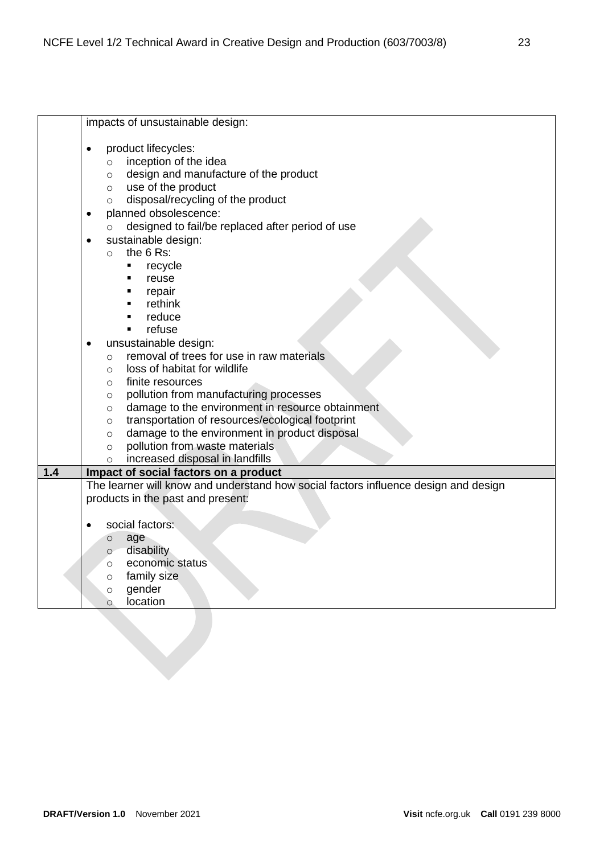|     | impacts of unsustainable design:                                                                                             |
|-----|------------------------------------------------------------------------------------------------------------------------------|
|     | product lifecycles:                                                                                                          |
|     | inception of the idea<br>$\circ$                                                                                             |
|     | design and manufacture of the product<br>$\circ$                                                                             |
|     | use of the product<br>$\circ$                                                                                                |
|     | disposal/recycling of the product<br>O                                                                                       |
|     | planned obsolescence:                                                                                                        |
|     | designed to fail/be replaced after period of use<br>$\circ$                                                                  |
|     | sustainable design:                                                                                                          |
|     | the 6 Rs:<br>$\circ$                                                                                                         |
|     | recycle<br>٠                                                                                                                 |
|     | reuse<br>٠                                                                                                                   |
|     | repair<br>٠                                                                                                                  |
|     | rethink<br>٠                                                                                                                 |
|     | reduce<br>٠                                                                                                                  |
|     | refuse<br>$\blacksquare$                                                                                                     |
|     | unsustainable design:                                                                                                        |
|     | removal of trees for use in raw materials<br>$\circ$                                                                         |
|     | loss of habitat for wildlife<br>$\circ$                                                                                      |
|     | finite resources<br>O                                                                                                        |
|     | pollution from manufacturing processes<br>O                                                                                  |
|     | damage to the environment in resource obtainment<br>O                                                                        |
|     | transportation of resources/ecological footprint<br>O                                                                        |
|     | damage to the environment in product disposal<br>$\circ$                                                                     |
|     | pollution from waste materials<br>$\circ$                                                                                    |
|     | increased disposal in landfills<br>$\circ$                                                                                   |
| 1.4 | Impact of social factors on a product<br>The learner will know and understand how social factors influence design and design |
|     | products in the past and present:                                                                                            |
|     |                                                                                                                              |
|     | social factors:                                                                                                              |
|     | age<br>O                                                                                                                     |
|     | disability<br>$\circ$                                                                                                        |
|     | economic status<br>$\circ$                                                                                                   |
|     | family size<br>$\circ$                                                                                                       |
|     | gender<br>$\circ$                                                                                                            |
|     | location<br>$\circ$                                                                                                          |
|     |                                                                                                                              |
|     |                                                                                                                              |
|     |                                                                                                                              |
|     |                                                                                                                              |
|     |                                                                                                                              |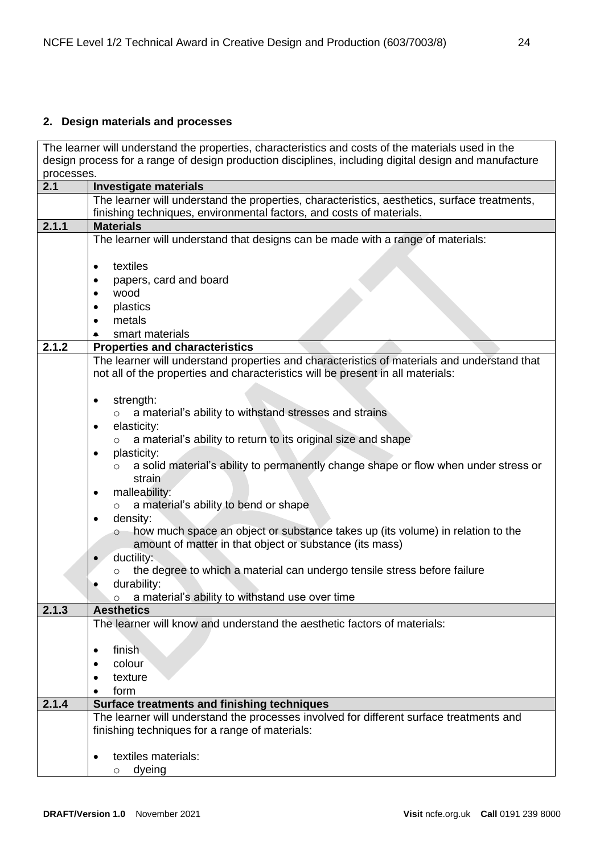## <span id="page-23-0"></span>**2. Design materials and processes**

The learner will understand the properties, characteristics and costs of the materials used in the design process for a range of design production disciplines, including digital design and manufacture processes.

| 2.1   | <b>Investigate materials</b>                                                                             |
|-------|----------------------------------------------------------------------------------------------------------|
|       | The learner will understand the properties, characteristics, aesthetics, surface treatments,             |
|       | finishing techniques, environmental factors, and costs of materials.                                     |
| 2.1.1 | <b>Materials</b>                                                                                         |
|       | The learner will understand that designs can be made with a range of materials:                          |
|       |                                                                                                          |
|       | textiles<br>$\bullet$                                                                                    |
|       | papers, card and board                                                                                   |
|       | wood                                                                                                     |
|       | plastics                                                                                                 |
|       | metals                                                                                                   |
|       | smart materials                                                                                          |
| 2.1.2 | <b>Properties and characteristics</b>                                                                    |
|       | The learner will understand properties and characteristics of materials and understand that              |
|       | not all of the properties and characteristics will be present in all materials:                          |
|       |                                                                                                          |
|       | strength:<br>$\bullet$                                                                                   |
|       | a material's ability to withstand stresses and strains                                                   |
|       | elasticity:<br>$\bullet$                                                                                 |
|       | a material's ability to return to its original size and shape<br>$\Omega$                                |
|       | plasticity:<br>$\bullet$                                                                                 |
|       | a solid material's ability to permanently change shape or flow when under stress or<br>$\circ$<br>strain |
|       | malleability:<br>$\bullet$                                                                               |
|       | a material's ability to bend or shape<br>$\circ$                                                         |
|       | density:<br>$\bullet$                                                                                    |
|       | how much space an object or substance takes up (its volume) in relation to the<br>$\circ$                |
|       | amount of matter in that object or substance (its mass)                                                  |
|       | ductility:                                                                                               |
|       | the degree to which a material can undergo tensile stress before failure<br>$\circ$                      |
|       | durability:                                                                                              |
|       | a material's ability to withstand use over time<br>$\circ$                                               |
| 2.1.3 | <b>Aesthetics</b>                                                                                        |
|       | The learner will know and understand the aesthetic factors of materials:                                 |
|       |                                                                                                          |
|       | finish<br>$\bullet$                                                                                      |
|       | colour                                                                                                   |
|       | texture                                                                                                  |
|       | form                                                                                                     |
| 2.1.4 | Surface treatments and finishing techniques                                                              |
|       | The learner will understand the processes involved for different surface treatments and                  |
|       | finishing techniques for a range of materials:                                                           |
|       |                                                                                                          |
|       | textiles materials:                                                                                      |
|       | dyeing<br>O                                                                                              |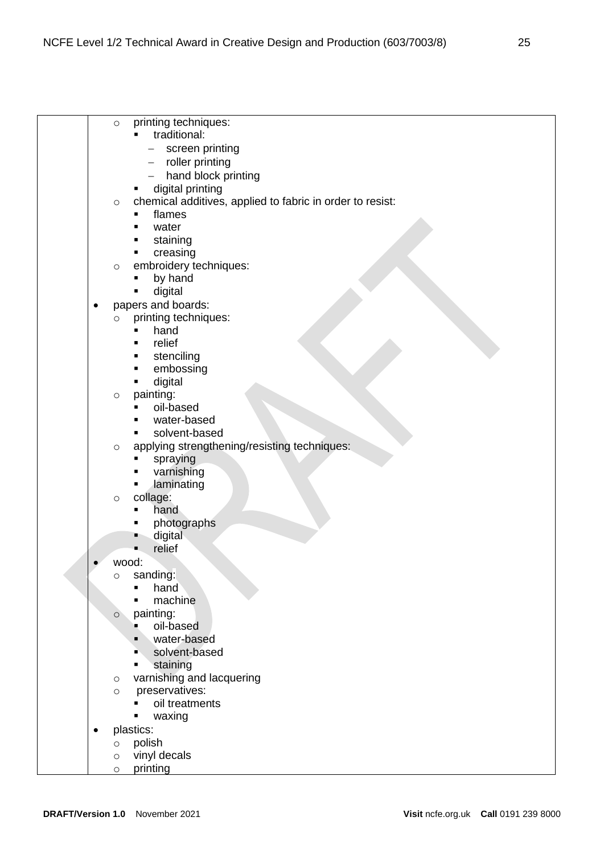| printing techniques:<br>$\circ$                                      |  |
|----------------------------------------------------------------------|--|
| traditional:<br>$\blacksquare$                                       |  |
| screen printing                                                      |  |
| roller printing                                                      |  |
| hand block printing                                                  |  |
| digital printing<br>٠                                                |  |
| chemical additives, applied to fabric in order to resist:<br>$\circ$ |  |
| flames<br>٠                                                          |  |
| water<br>٠                                                           |  |
| staining<br>٠                                                        |  |
| creasing<br>٠                                                        |  |
| embroidery techniques:<br>$\circ$                                    |  |
| by hand<br>٠                                                         |  |
| digital<br>٠                                                         |  |
| papers and boards:<br>٠                                              |  |
| printing techniques:<br>$\circ$                                      |  |
| hand<br>٠                                                            |  |
| relief<br>п                                                          |  |
| stenciling                                                           |  |
| embossing<br>٠                                                       |  |
| digital<br>٠                                                         |  |
| painting:<br>$\circ$                                                 |  |
| oil-based<br>٠                                                       |  |
| water-based<br>٠                                                     |  |
| solvent-based<br>٠                                                   |  |
| applying strengthening/resisting techniques:<br>$\circ$              |  |
| spraying<br>٠                                                        |  |
| varnishing<br>٠                                                      |  |
| laminating<br>٠                                                      |  |
| collage:<br>$\circ$                                                  |  |
| hand<br>п                                                            |  |
| photographs                                                          |  |
| digital                                                              |  |
| relief                                                               |  |
| wood:                                                                |  |
| sanding:<br>$\circ$                                                  |  |
| hand<br>$\blacksquare$                                               |  |
| machine<br>п                                                         |  |
| painting:<br>$\circ$                                                 |  |
| oil-based<br>п                                                       |  |
| water-based<br>٠                                                     |  |
| solvent-based<br>٠                                                   |  |
| staining<br>٠                                                        |  |
| varnishing and lacquering<br>$\circ$                                 |  |
| preservatives:<br>$\circ$                                            |  |
| oil treatments                                                       |  |
| waxing<br>п                                                          |  |
| plastics:<br>٠                                                       |  |
| polish<br>$\circ$                                                    |  |
| vinyl decals<br>$\circ$                                              |  |
| printing<br>$\circ$                                                  |  |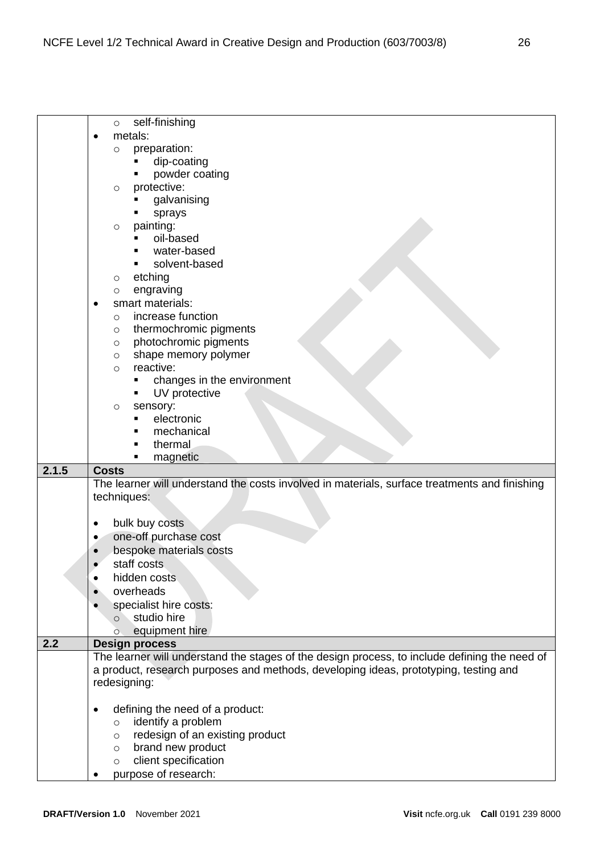|       | self-finishing<br>$\circ$                                                                     |
|-------|-----------------------------------------------------------------------------------------------|
|       | metals:<br>$\bullet$                                                                          |
|       | preparation:<br>O                                                                             |
|       | dip-coating                                                                                   |
|       | powder coating                                                                                |
|       | protective:<br>O                                                                              |
|       | galvanising                                                                                   |
|       | sprays                                                                                        |
|       | painting:<br>$\circ$                                                                          |
|       | oil-based                                                                                     |
|       | water-based                                                                                   |
|       | solvent-based<br>٠                                                                            |
|       | etching<br>O                                                                                  |
|       | engraving<br>O                                                                                |
|       | smart materials:<br>$\bullet$                                                                 |
|       | increase function<br>O                                                                        |
|       | thermochromic pigments<br>O                                                                   |
|       | photochromic pigments<br>$\circ$                                                              |
|       | shape memory polymer<br>$\circ$                                                               |
|       | reactive:<br>$\circ$                                                                          |
|       | changes in the environment<br>٠                                                               |
|       | UV protective<br>٠                                                                            |
|       | sensory:<br>$\circ$                                                                           |
|       | electronic                                                                                    |
|       | mechanical                                                                                    |
|       | thermal                                                                                       |
|       | magnetic                                                                                      |
|       |                                                                                               |
|       | <b>Costs</b>                                                                                  |
| 2.1.5 |                                                                                               |
|       | The learner will understand the costs involved in materials, surface treatments and finishing |
|       | techniques:                                                                                   |
|       | $\bullet$                                                                                     |
|       | bulk buy costs<br>$\bullet$                                                                   |
|       | one-off purchase cost                                                                         |
|       | bespoke materials costs                                                                       |
|       | staff costs                                                                                   |
|       | hidden costs                                                                                  |
|       | overheads                                                                                     |
|       | specialist hire costs:                                                                        |
|       | studio hire<br>$\circ$                                                                        |
|       | equipment hire<br>Ō.                                                                          |
| 2.2   | <b>Design process</b>                                                                         |
|       | The learner will understand the stages of the design process, to include defining the need of |
|       | a product, research purposes and methods, developing ideas, prototyping, testing and          |
|       | redesigning:                                                                                  |
|       |                                                                                               |
|       | defining the need of a product:<br>$\bullet$                                                  |
|       | identify a problem<br>$\circ$                                                                 |
|       | redesign of an existing product<br>$\circ$                                                    |
|       | brand new product<br>$\circ$                                                                  |
|       | client specification<br>$\circ$<br>purpose of research:                                       |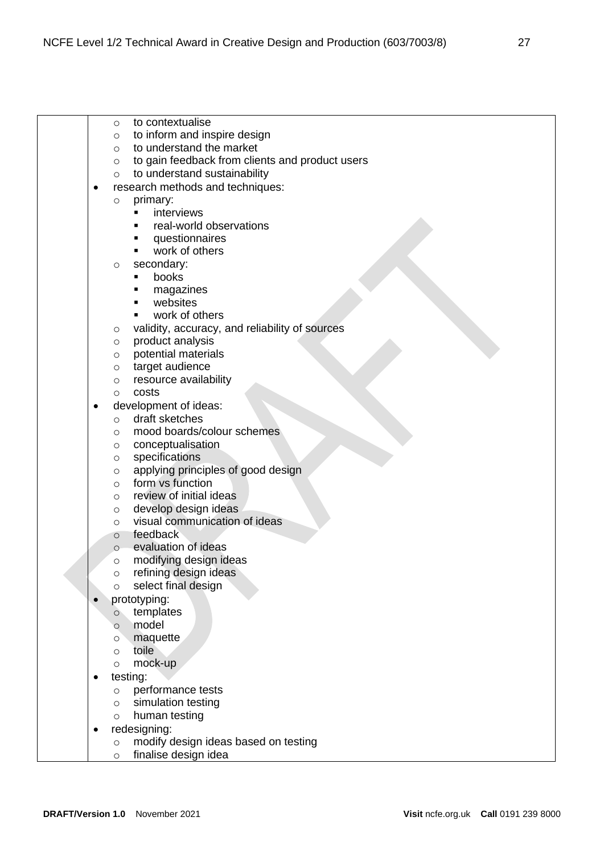- o to contextualise
- o to inform and inspire design
- o to understand the market
- o to gain feedback from clients and product users
- o to understand sustainability
- research methods and techniques:
	- o primary:
		- interviews
		- real-world observations
		- questionnaires
		- work of others
	- o secondary:
		- books
		- magazines
		- websites
		- work of others
	- o validity, accuracy, and reliability of sources
	- o product analysis
	- o potential materials
	- o target audience
	- o resource availability
	- o costs
- development of ideas:
	- o draft sketches
	- o mood boards/colour schemes
	- o conceptualisation
	- o specifications
	- o applying principles of good design
	- o form vs function
	- o review of initial ideas
	- o develop design ideas
	- o visual communication of ideas
	- o feedback
	- o evaluation of ideas
	- o modifying design ideas
	- o refining design ideas
	- o select final design
- prototyping:
	- o templates
	- o model
	- o maquette
	- o toile
	- o mock-up
- testing:
	- o performance tests
	- o simulation testing
	- o human testing
- redesigning:
	- o modify design ideas based on testing
	- o finalise design idea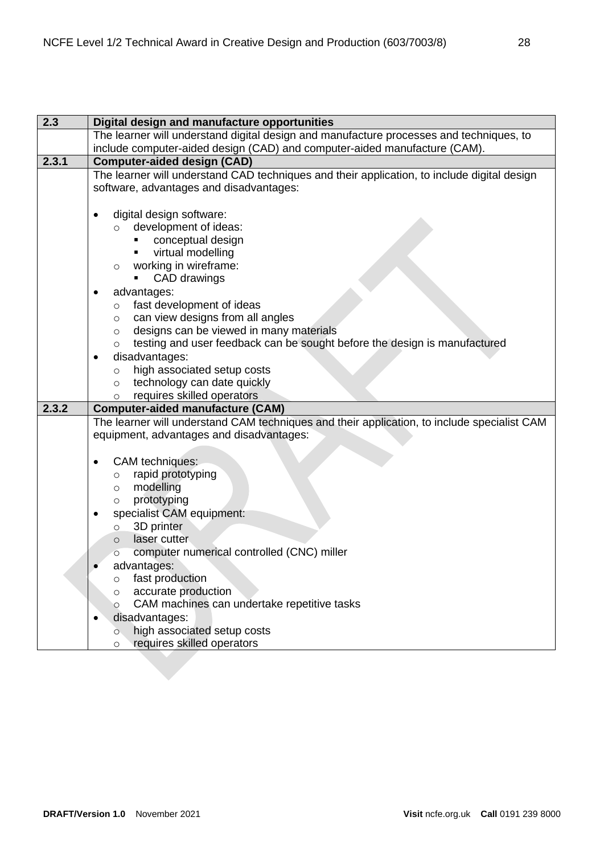| 2.3   | Digital design and manufacture opportunities                                                |
|-------|---------------------------------------------------------------------------------------------|
|       | The learner will understand digital design and manufacture processes and techniques, to     |
|       | include computer-aided design (CAD) and computer-aided manufacture (CAM).                   |
| 2.3.1 | <b>Computer-aided design (CAD)</b>                                                          |
|       | The learner will understand CAD techniques and their application, to include digital design |
|       | software, advantages and disadvantages:                                                     |
|       |                                                                                             |
|       | digital design software:<br>$\bullet$                                                       |
|       | development of ideas:<br>$\circ$                                                            |
|       | conceptual design                                                                           |
|       | virtual modelling                                                                           |
|       | working in wireframe:<br>$\circ$                                                            |
|       | CAD drawings                                                                                |
|       | advantages:<br>$\bullet$                                                                    |
|       | fast development of ideas<br>$\circ$                                                        |
|       | can view designs from all angles<br>$\circ$                                                 |
|       | designs can be viewed in many materials<br>$\circ$                                          |
|       | testing and user feedback can be sought before the design is manufactured<br>$\circ$        |
|       | disadvantages:<br>$\bullet$                                                                 |
|       | high associated setup costs<br>$\circ$                                                      |
|       | technology can date quickly<br>$\circ$                                                      |
|       | requires skilled operators<br>$\circ$                                                       |
| 2.3.2 | <b>Computer-aided manufacture (CAM)</b>                                                     |
|       | The learner will understand CAM techniques and their application, to include specialist CAM |
|       | equipment, advantages and disadvantages:                                                    |
|       |                                                                                             |
|       | CAM techniques:<br>$\bullet$                                                                |
|       | rapid prototyping<br>$\circ$                                                                |
|       | modelling<br>$\circ$                                                                        |
|       | prototyping<br>$\circ$                                                                      |
|       | specialist CAM equipment:<br>٠                                                              |
|       | 3D printer<br>$\circ$                                                                       |
|       |                                                                                             |
|       | laser cutter<br>$\circ$                                                                     |
|       | computer numerical controlled (CNC) miller                                                  |
|       | advantages:                                                                                 |
|       | fast production<br>O                                                                        |
|       | accurate production<br>O                                                                    |
|       | CAM machines can undertake repetitive tasks<br>O                                            |
|       | disadvantages:                                                                              |
|       | high associated setup costs<br>Ō<br>requires skilled operators                              |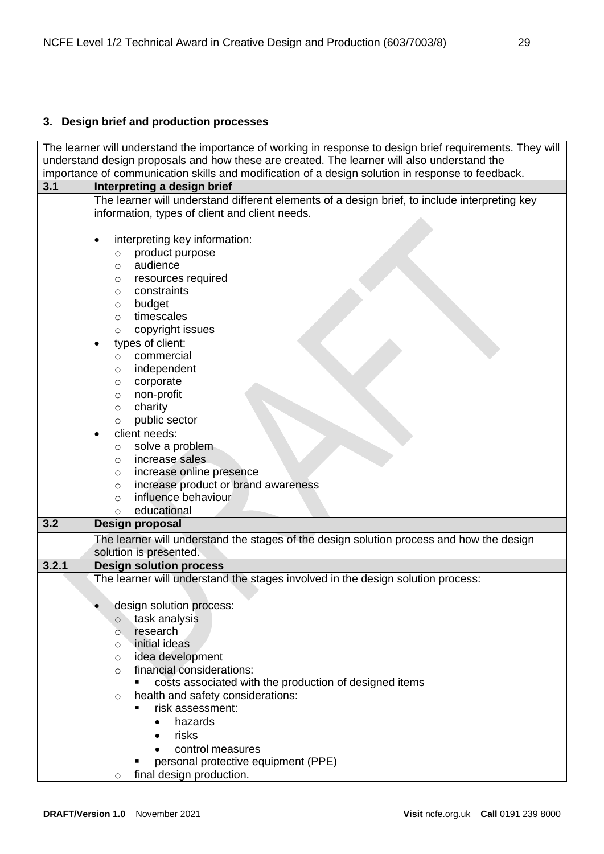# <span id="page-28-0"></span>**3. Design brief and production processes**

| The learner will understand the importance of working in response to design brief requirements. They will |                                                                                                                                                 |  |
|-----------------------------------------------------------------------------------------------------------|-------------------------------------------------------------------------------------------------------------------------------------------------|--|
|                                                                                                           | understand design proposals and how these are created. The learner will also understand the                                                     |  |
|                                                                                                           | importance of communication skills and modification of a design solution in response to feedback.                                               |  |
| 3.1                                                                                                       | Interpreting a design brief                                                                                                                     |  |
|                                                                                                           | The learner will understand different elements of a design brief, to include interpreting key<br>information, types of client and client needs. |  |
|                                                                                                           |                                                                                                                                                 |  |
|                                                                                                           | interpreting key information:<br>$\bullet$                                                                                                      |  |
|                                                                                                           | product purpose<br>$\circ$                                                                                                                      |  |
|                                                                                                           | audience<br>$\circ$                                                                                                                             |  |
|                                                                                                           | resources required<br>O                                                                                                                         |  |
|                                                                                                           | constraints<br>$\circ$                                                                                                                          |  |
|                                                                                                           | budget<br>$\circ$                                                                                                                               |  |
|                                                                                                           | timescales<br>$\circ$                                                                                                                           |  |
|                                                                                                           | copyright issues<br>$\circ$                                                                                                                     |  |
|                                                                                                           | types of client:<br>$\bullet$                                                                                                                   |  |
|                                                                                                           | commercial<br>$\circ$                                                                                                                           |  |
|                                                                                                           | independent<br>$\circ$                                                                                                                          |  |
|                                                                                                           | corporate<br>O                                                                                                                                  |  |
|                                                                                                           | non-profit<br>$\circ$                                                                                                                           |  |
|                                                                                                           | charity<br>$\circ$                                                                                                                              |  |
|                                                                                                           | public sector<br>$\circ$                                                                                                                        |  |
|                                                                                                           | client needs:<br>$\bullet$                                                                                                                      |  |
|                                                                                                           | solve a problem<br>$\circ$                                                                                                                      |  |
|                                                                                                           | increase sales<br>$\circ$                                                                                                                       |  |
|                                                                                                           | increase online presence<br>$\circ$                                                                                                             |  |
|                                                                                                           | increase product or brand awareness<br>$\circ$<br>influence behaviour                                                                           |  |
|                                                                                                           | $\circ$<br>educational<br>$\circ$                                                                                                               |  |
| 3.2                                                                                                       | Design proposal                                                                                                                                 |  |
|                                                                                                           | The learner will understand the stages of the design solution process and how the design                                                        |  |
|                                                                                                           | solution is presented.                                                                                                                          |  |
| 3.2.1                                                                                                     | <b>Design solution process</b>                                                                                                                  |  |
|                                                                                                           | The learner will understand the stages involved in the design solution process:                                                                 |  |
|                                                                                                           |                                                                                                                                                 |  |
|                                                                                                           | design solution process:<br>$\bullet$                                                                                                           |  |
|                                                                                                           | task analysis<br>$\circ$                                                                                                                        |  |
|                                                                                                           | research<br>$\circ$                                                                                                                             |  |
|                                                                                                           | initial ideas<br>O                                                                                                                              |  |
|                                                                                                           | idea development<br>O                                                                                                                           |  |
|                                                                                                           | financial considerations:<br>$\circ$                                                                                                            |  |
|                                                                                                           | costs associated with the production of designed items                                                                                          |  |
|                                                                                                           | health and safety considerations:<br>$\circ$                                                                                                    |  |
|                                                                                                           | risk assessment:<br>٠                                                                                                                           |  |
|                                                                                                           | hazards<br>$\bullet$                                                                                                                            |  |
|                                                                                                           | risks                                                                                                                                           |  |
|                                                                                                           | control measures                                                                                                                                |  |
|                                                                                                           | personal protective equipment (PPE)                                                                                                             |  |
|                                                                                                           | final design production.<br>$\circ$                                                                                                             |  |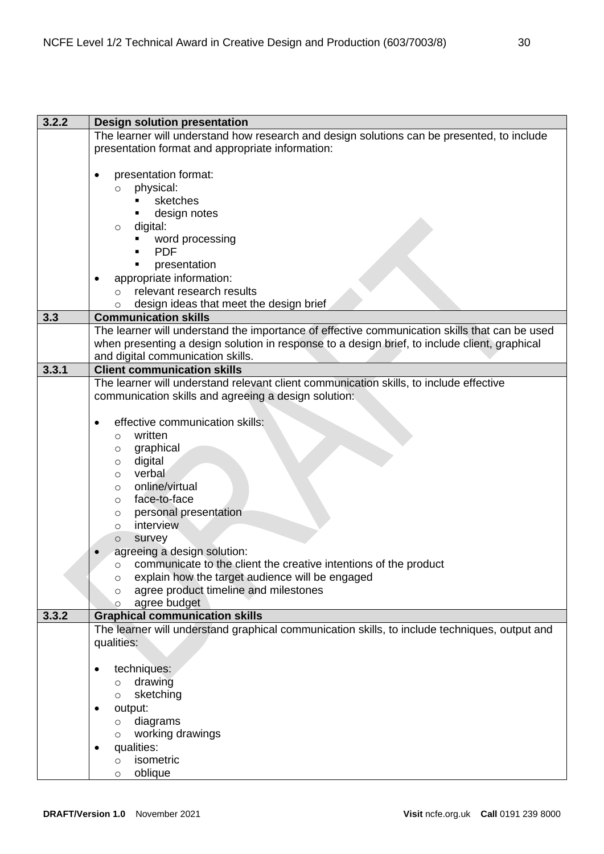| 3.2.2 | <b>Design solution presentation</b>                                                           |
|-------|-----------------------------------------------------------------------------------------------|
|       | The learner will understand how research and design solutions can be presented, to include    |
|       | presentation format and appropriate information:                                              |
|       |                                                                                               |
|       |                                                                                               |
|       | presentation format:<br>٠                                                                     |
|       | physical:<br>$\circ$                                                                          |
|       | sketches                                                                                      |
|       | design notes<br>٠                                                                             |
|       | digital:<br>$\circ$                                                                           |
|       | word processing                                                                               |
|       | <b>PDF</b>                                                                                    |
|       | presentation                                                                                  |
|       |                                                                                               |
|       | appropriate information:                                                                      |
|       | relevant research results<br>$\circ$                                                          |
|       | design ideas that meet the design brief<br>$\circ$                                            |
| 3.3   | <b>Communication skills</b>                                                                   |
|       | The learner will understand the importance of effective communication skills that can be used |
|       | when presenting a design solution in response to a design brief, to include client, graphical |
|       | and digital communication skills.                                                             |
| 3.3.1 | <b>Client communication skills</b>                                                            |
|       |                                                                                               |
|       | The learner will understand relevant client communication skills, to include effective        |
|       | communication skills and agreeing a design solution:                                          |
|       |                                                                                               |
|       | effective communication skills:                                                               |
|       | written<br>$\circ$                                                                            |
|       | graphical<br>$\circ$                                                                          |
|       | digital<br>O                                                                                  |
|       | verbal<br>$\circ$                                                                             |
|       | online/virtual                                                                                |
|       | O                                                                                             |
|       | face-to-face<br>O                                                                             |
|       | personal presentation<br>O                                                                    |
|       | interview<br>$\circ$                                                                          |
|       | survey<br>$\circ$                                                                             |
|       | agreeing a design solution:                                                                   |
|       | communicate to the client the creative intentions of the product<br>$\circ$                   |
|       | explain how the target audience will be engaged<br>O                                          |
|       | agree product timeline and milestones<br>$\circ$                                              |
|       | agree budget                                                                                  |
|       |                                                                                               |
| 3.3.2 | <b>Graphical communication skills</b>                                                         |
|       | The learner will understand graphical communication skills, to include techniques, output and |
|       | qualities:                                                                                    |
|       |                                                                                               |
|       | techniques:<br>$\bullet$                                                                      |
|       | drawing<br>$\circ$                                                                            |
|       | sketching<br>$\circ$                                                                          |
|       | output:                                                                                       |
|       |                                                                                               |
|       | diagrams<br>$\circ$                                                                           |
|       | working drawings<br>$\circ$                                                                   |
|       | qualities:                                                                                    |
|       | isometric<br>$\circ$                                                                          |
|       | oblique<br>O                                                                                  |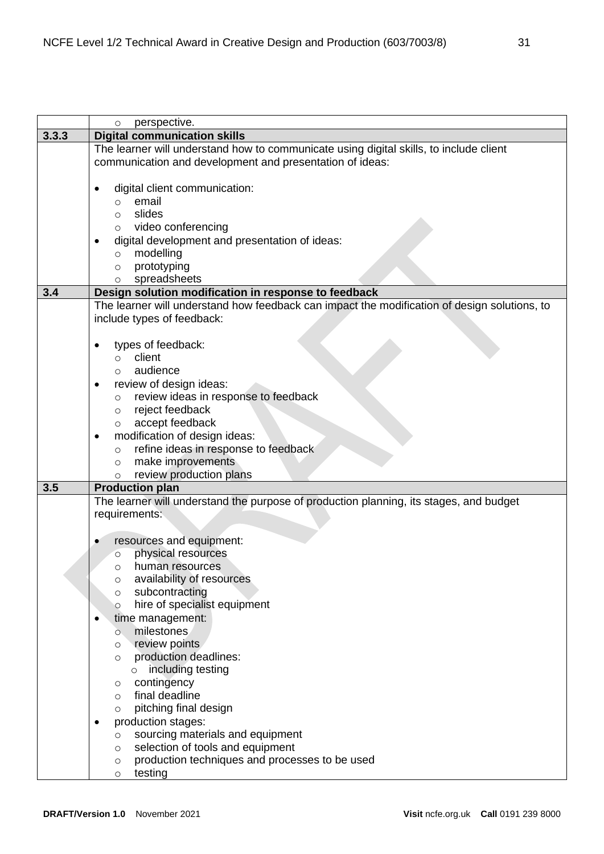|       | perspective.<br>$\circ$                                                                      |
|-------|----------------------------------------------------------------------------------------------|
| 3.3.3 | <b>Digital communication skills</b>                                                          |
|       | The learner will understand how to communicate using digital skills, to include client       |
|       | communication and development and presentation of ideas:                                     |
|       |                                                                                              |
|       | digital client communication:                                                                |
|       | email<br>$\circ$                                                                             |
|       | slides<br>$\circ$                                                                            |
|       | o video conferencing                                                                         |
|       | digital development and presentation of ideas:                                               |
|       | modelling<br>$\circ$                                                                         |
|       | prototyping<br>$\circ$                                                                       |
|       | spreadsheets<br>$\circ$                                                                      |
| 3.4   | Design solution modification in response to feedback                                         |
|       | The learner will understand how feedback can impact the modification of design solutions, to |
|       | include types of feedback:                                                                   |
|       |                                                                                              |
|       | types of feedback:                                                                           |
|       | client<br>$\circ$                                                                            |
|       | audience<br>$\circ$                                                                          |
|       | review of design ideas:                                                                      |
|       | review ideas in response to feedback<br>$\circ$                                              |
|       | reject feedback<br>$\circ$                                                                   |
|       | accept feedback<br>$\circ$                                                                   |
|       | modification of design ideas:<br>٠                                                           |
|       | refine ideas in response to feedback<br>$\circ$                                              |
|       | make improvements<br>$\circ$<br>review production plans                                      |
| 3.5   | $\circ$<br><b>Production plan</b>                                                            |
|       | The learner will understand the purpose of production planning, its stages, and budget       |
|       | requirements:                                                                                |
|       |                                                                                              |
|       | resources and equipment:                                                                     |
|       | physical resources<br>$\circ$                                                                |
|       | human resources<br>∩                                                                         |
|       | availability of resources<br>O                                                               |
|       | subcontracting<br>O                                                                          |
|       | hire of specialist equipment<br>$\circ$                                                      |
|       | time management:                                                                             |
|       | milestones<br>O                                                                              |
|       | review points<br>O                                                                           |
|       | production deadlines:<br>$\circ$                                                             |
|       | including testing<br>$\circ$                                                                 |
|       | contingency<br>O                                                                             |
|       | final deadline<br>O                                                                          |
|       | pitching final design<br>$\circ$                                                             |
|       | production stages:                                                                           |
|       | sourcing materials and equipment<br>O                                                        |
|       | selection of tools and equipment<br>O                                                        |
|       | production techniques and processes to be used<br>O                                          |
|       | testing<br>$\circ$                                                                           |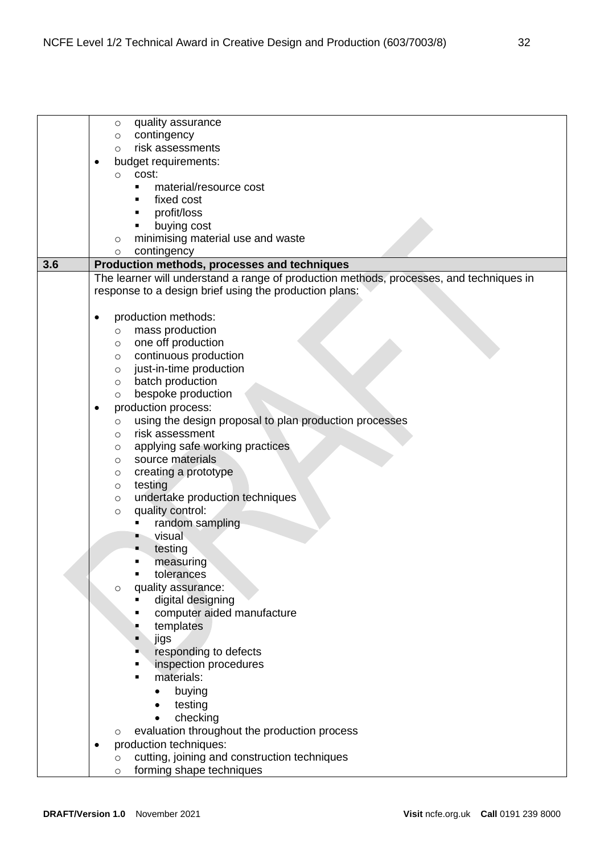|     | quality assurance<br>O                                                                  |
|-----|-----------------------------------------------------------------------------------------|
|     | contingency<br>O                                                                        |
|     | risk assessments<br>$\circ$                                                             |
|     | budget requirements:                                                                    |
|     | cost:<br>$\circ$                                                                        |
|     | material/resource cost<br>п                                                             |
|     | fixed cost                                                                              |
|     | profit/loss                                                                             |
|     | buying cost                                                                             |
|     | minimising material use and waste<br>$\circ$                                            |
|     | contingency<br>$\circ$                                                                  |
| 3.6 | Production methods, processes and techniques                                            |
|     | The learner will understand a range of production methods, processes, and techniques in |
|     | response to a design brief using the production plans:                                  |
|     |                                                                                         |
|     | production methods:                                                                     |
|     | mass production<br>$\circ$                                                              |
|     | one off production<br>$\circ$                                                           |
|     | continuous production<br>$\circ$                                                        |
|     | just-in-time production<br>$\circ$                                                      |
|     | batch production<br>$\circ$                                                             |
|     | bespoke production<br>$\circ$                                                           |
|     | production process:                                                                     |
|     | using the design proposal to plan production processes<br>$\circ$                       |
|     | risk assessment<br>$\circ$                                                              |
|     | applying safe working practices<br>O                                                    |
|     | source materials<br>O                                                                   |
|     | creating a prototype<br>O                                                               |
|     | testing<br>$\circ$                                                                      |
|     | undertake production techniques<br>$\circ$                                              |
|     | quality control:<br>$\circ$                                                             |
|     | random sampling                                                                         |
|     | visual                                                                                  |
|     | testing                                                                                 |
|     | measuring                                                                               |
|     | tolerances                                                                              |
|     | quality assurance:<br>$\circ$                                                           |
|     | digital designing                                                                       |
|     | computer aided manufacture                                                              |
|     | templates                                                                               |
|     | jigs                                                                                    |
|     | responding to defects                                                                   |
|     | inspection procedures                                                                   |
|     | materials:                                                                              |
|     | buying<br>$\bullet$                                                                     |
|     | testing                                                                                 |
|     | checking                                                                                |
|     | evaluation throughout the production process<br>O                                       |
|     | production techniques:                                                                  |
|     | cutting, joining and construction techniques<br>$\circ$                                 |
|     | forming shape techniques<br>$\circ$                                                     |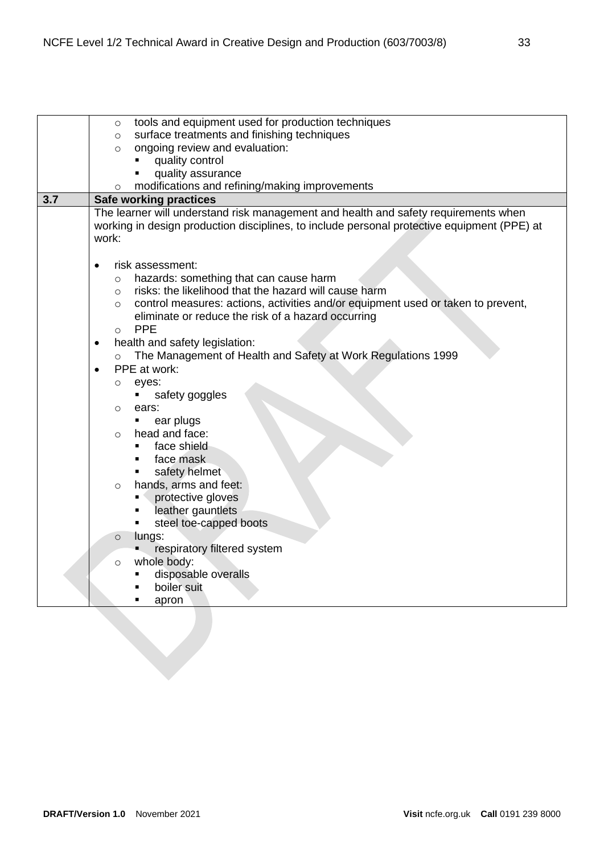|     | tools and equipment used for production techniques<br>$\circ$                               |
|-----|---------------------------------------------------------------------------------------------|
|     | surface treatments and finishing techniques<br>$\circ$                                      |
|     | ongoing review and evaluation:<br>$\circ$                                                   |
|     | quality control<br>$\blacksquare$                                                           |
|     | quality assurance<br>п                                                                      |
|     | modifications and refining/making improvements<br>$\circ$                                   |
| 3.7 | <b>Safe working practices</b>                                                               |
|     | The learner will understand risk management and health and safety requirements when         |
|     | working in design production disciplines, to include personal protective equipment (PPE) at |
|     | work:                                                                                       |
|     |                                                                                             |
|     | risk assessment:                                                                            |
|     | hazards: something that can cause harm<br>$\circ$                                           |
|     | risks: the likelihood that the hazard will cause harm<br>$\circ$                            |
|     | control measures: actions, activities and/or equipment used or taken to prevent,<br>$\circ$ |
|     | eliminate or reduce the risk of a hazard occurring                                          |
|     | <b>PPE</b><br>$\circ$                                                                       |
|     | health and safety legislation:<br>٠                                                         |
|     | The Management of Health and Safety at Work Regulations 1999<br>$\circ$                     |
|     | PPE at work:                                                                                |
|     |                                                                                             |
|     | eyes:<br>$\circ$                                                                            |
|     | safety goggles<br>п.                                                                        |
|     | ears:<br>O<br>٠                                                                             |
|     | ear plugs<br>head and face:                                                                 |
|     | $\circ$<br>face shield                                                                      |
|     | face mask<br>$\blacksquare$                                                                 |
|     |                                                                                             |
|     | safety helmet<br>٠                                                                          |
|     | hands, arms and feet:<br>$\circ$                                                            |
|     | protective gloves<br>. .                                                                    |
|     | leather gauntlets<br>٠                                                                      |
|     | steel toe-capped boots                                                                      |
|     | lungs:<br>$\circ$                                                                           |
|     | respiratory filtered system                                                                 |
|     | whole body:<br>$\circ$                                                                      |
|     | disposable overalls                                                                         |
|     | boiler suit                                                                                 |
|     | apron                                                                                       |
|     |                                                                                             |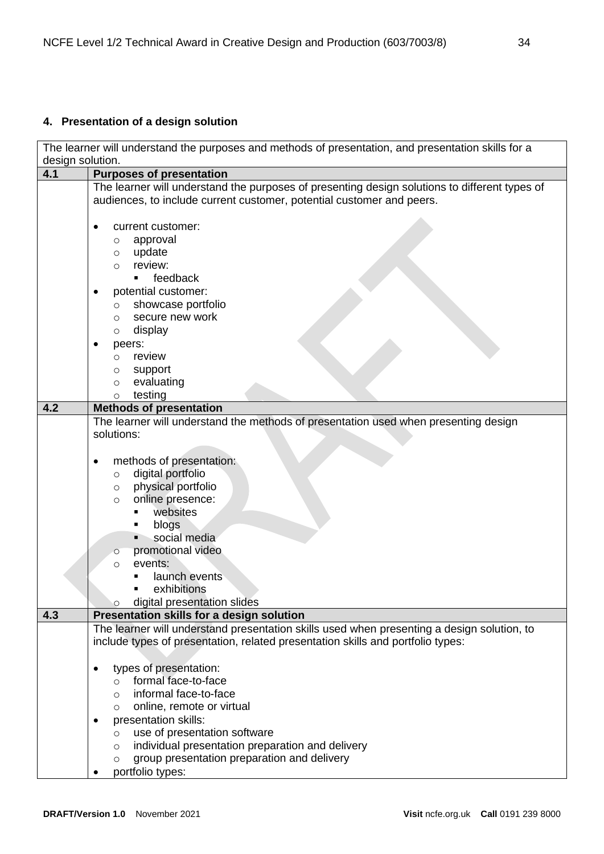# <span id="page-33-0"></span>**4. Presentation of a design solution**

The learner will understand the purposes and methods of presentation, and presentation skills for a design solution.

| 4.1 | <b>Purposes of presentation</b>                                                               |
|-----|-----------------------------------------------------------------------------------------------|
|     | The learner will understand the purposes of presenting design solutions to different types of |
|     | audiences, to include current customer, potential customer and peers.                         |
|     |                                                                                               |
|     | current customer:                                                                             |
|     | approval<br>O                                                                                 |
|     | update<br>$\circ$                                                                             |
|     | review:<br>$\circ$                                                                            |
|     | feedback<br>٠.                                                                                |
|     |                                                                                               |
|     | potential customer:                                                                           |
|     | showcase portfolio<br>$\circ$                                                                 |
|     | secure new work<br>$\circ$                                                                    |
|     | display<br>O                                                                                  |
|     | peers:                                                                                        |
|     | review<br>$\circ$                                                                             |
|     | support<br>O                                                                                  |
|     | evaluating<br>$\circ$                                                                         |
|     | testing<br>$\circ$                                                                            |
| 4.2 | <b>Methods of presentation</b>                                                                |
|     | The learner will understand the methods of presentation used when presenting design           |
|     | solutions:                                                                                    |
|     |                                                                                               |
|     |                                                                                               |
|     | methods of presentation:<br>٠                                                                 |
|     | digital portfolio<br>$\circ$                                                                  |
|     | physical portfolio<br>O                                                                       |
|     | online presence:<br>$\circ$                                                                   |
|     | websites                                                                                      |
|     | blogs                                                                                         |
|     | social media                                                                                  |
|     | promotional video<br>$\circ$                                                                  |
|     | events:<br>$\circ$                                                                            |
|     | launch events                                                                                 |
|     | exhibitions<br>$\blacksquare$                                                                 |
|     | digital presentation slides<br>O                                                              |
| 4.3 | Presentation skills for a design solution                                                     |
|     | The learner will understand presentation skills used when presenting a design solution, to    |
|     | include types of presentation, related presentation skills and portfolio types:               |
|     |                                                                                               |
|     | types of presentation:                                                                        |
|     | formal face-to-face                                                                           |
|     | $\circ$                                                                                       |
|     | informal face-to-face<br>O                                                                    |
|     | online, remote or virtual<br>O                                                                |
|     | presentation skills:                                                                          |
|     | use of presentation software<br>$\circ$                                                       |
|     | individual presentation preparation and delivery<br>$\circ$                                   |
|     | group presentation preparation and delivery<br>O                                              |
|     | portfolio types:                                                                              |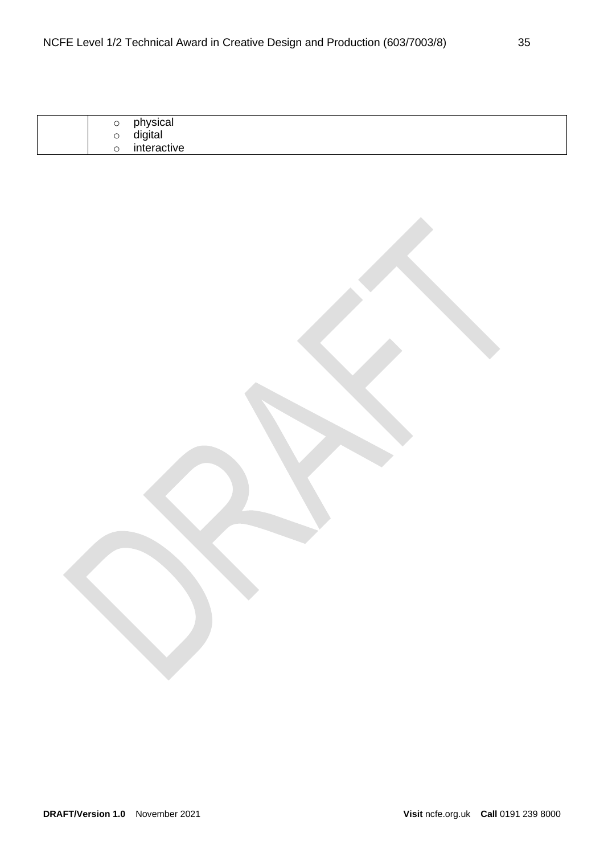| $\check{ }$ | physical    |
|-------------|-------------|
| Ő           | digital     |
|             | interactive |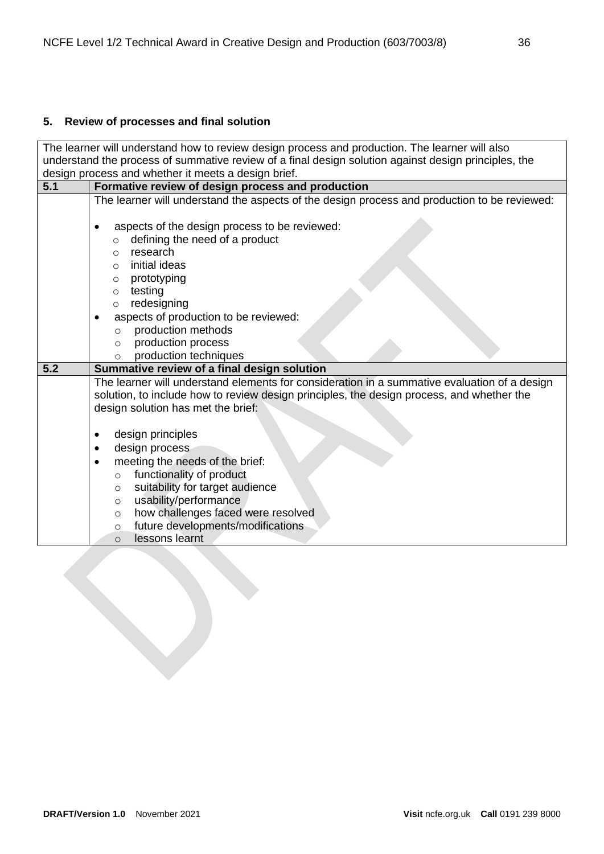# <span id="page-35-0"></span>**5. Review of processes and final solution**

| The learner will understand how to review design process and production. The learner will also       |                                                                                              |  |  |  |
|------------------------------------------------------------------------------------------------------|----------------------------------------------------------------------------------------------|--|--|--|
| understand the process of summative review of a final design solution against design principles, the |                                                                                              |  |  |  |
| design process and whether it meets a design brief.                                                  |                                                                                              |  |  |  |
| 5.1                                                                                                  | Formative review of design process and production                                            |  |  |  |
|                                                                                                      | The learner will understand the aspects of the design process and production to be reviewed: |  |  |  |
|                                                                                                      |                                                                                              |  |  |  |
|                                                                                                      | aspects of the design process to be reviewed:                                                |  |  |  |
|                                                                                                      | defining the need of a product<br>$\circ$                                                    |  |  |  |
|                                                                                                      | research<br>$\circ$                                                                          |  |  |  |
|                                                                                                      | initial ideas<br>$\circ$                                                                     |  |  |  |
|                                                                                                      | prototyping<br>$\circ$                                                                       |  |  |  |
|                                                                                                      | testing<br>$\circ$                                                                           |  |  |  |
|                                                                                                      | redesigning<br>$\circ$                                                                       |  |  |  |
|                                                                                                      | aspects of production to be reviewed:<br>$\bullet$                                           |  |  |  |
|                                                                                                      | production methods<br>$\circ$                                                                |  |  |  |
|                                                                                                      | production process<br>$\circ$                                                                |  |  |  |
|                                                                                                      |                                                                                              |  |  |  |
|                                                                                                      | production techniques<br>$\circ$                                                             |  |  |  |
| 5.2                                                                                                  | Summative review of a final design solution                                                  |  |  |  |
|                                                                                                      | The learner will understand elements for consideration in a summative evaluation of a design |  |  |  |
|                                                                                                      | solution, to include how to review design principles, the design process, and whether the    |  |  |  |
|                                                                                                      | design solution has met the brief:                                                           |  |  |  |
|                                                                                                      |                                                                                              |  |  |  |
|                                                                                                      | design principles                                                                            |  |  |  |
|                                                                                                      | design process<br>$\bullet$                                                                  |  |  |  |
|                                                                                                      | meeting the needs of the brief:                                                              |  |  |  |
|                                                                                                      | functionality of product<br>$\circ$                                                          |  |  |  |
|                                                                                                      | suitability for target audience<br>$\circ$                                                   |  |  |  |
|                                                                                                      | usability/performance<br>$\circ$                                                             |  |  |  |
|                                                                                                      | how challenges faced were resolved<br>$\circ$                                                |  |  |  |
|                                                                                                      | future developments/modifications<br>$\circ$<br>lessons learnt<br>$\Omega$                   |  |  |  |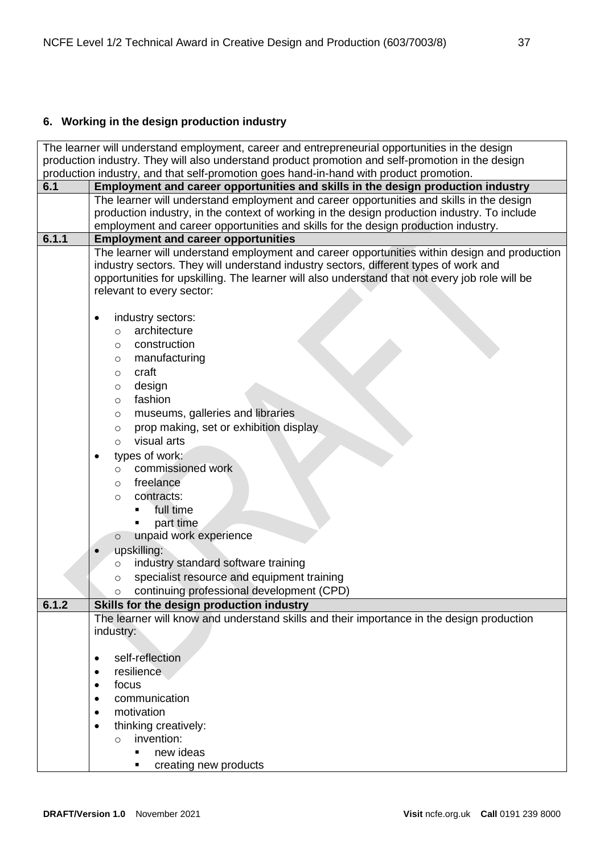# <span id="page-36-0"></span>**6. Working in the design production industry**

| The learner will understand employment, career and entrepreneurial opportunities in the design    |                                                                                                |  |  |  |
|---------------------------------------------------------------------------------------------------|------------------------------------------------------------------------------------------------|--|--|--|
| production industry. They will also understand product promotion and self-promotion in the design |                                                                                                |  |  |  |
|                                                                                                   | production industry, and that self-promotion goes hand-in-hand with product promotion.         |  |  |  |
| 6.1                                                                                               | Employment and career opportunities and skills in the design production industry               |  |  |  |
|                                                                                                   | The learner will understand employment and career opportunities and skills in the design       |  |  |  |
|                                                                                                   | production industry, in the context of working in the design production industry. To include   |  |  |  |
|                                                                                                   | employment and career opportunities and skills for the design production industry.             |  |  |  |
| 6.1.1                                                                                             | <b>Employment and career opportunities</b>                                                     |  |  |  |
|                                                                                                   | The learner will understand employment and career opportunities within design and production   |  |  |  |
|                                                                                                   | industry sectors. They will understand industry sectors, different types of work and           |  |  |  |
|                                                                                                   | opportunities for upskilling. The learner will also understand that not every job role will be |  |  |  |
|                                                                                                   | relevant to every sector:                                                                      |  |  |  |
|                                                                                                   |                                                                                                |  |  |  |
|                                                                                                   | industry sectors:<br>$\bullet$                                                                 |  |  |  |
|                                                                                                   | architecture<br>$\circ$                                                                        |  |  |  |
|                                                                                                   | construction<br>$\circ$                                                                        |  |  |  |
|                                                                                                   | manufacturing<br>O                                                                             |  |  |  |
|                                                                                                   | craft<br>$\circ$                                                                               |  |  |  |
|                                                                                                   | design<br>$\circ$                                                                              |  |  |  |
|                                                                                                   | fashion<br>$\circ$                                                                             |  |  |  |
|                                                                                                   | museums, galleries and libraries<br>$\circ$                                                    |  |  |  |
|                                                                                                   | prop making, set or exhibition display<br>$\circ$                                              |  |  |  |
|                                                                                                   | visual arts<br>$\circ$                                                                         |  |  |  |
|                                                                                                   | types of work:                                                                                 |  |  |  |
|                                                                                                   | commissioned work<br>$\circ$                                                                   |  |  |  |
|                                                                                                   | freelance<br>$\circ$                                                                           |  |  |  |
|                                                                                                   | contracts:<br>$\circ$                                                                          |  |  |  |
|                                                                                                   | full time                                                                                      |  |  |  |
|                                                                                                   | part time                                                                                      |  |  |  |
|                                                                                                   | unpaid work experience<br>$\circ$                                                              |  |  |  |
|                                                                                                   | upskilling:                                                                                    |  |  |  |
|                                                                                                   | industry standard software training                                                            |  |  |  |
|                                                                                                   | $\circ$<br>specialist resource and equipment training                                          |  |  |  |
|                                                                                                   | $\circ$                                                                                        |  |  |  |
|                                                                                                   | continuing professional development (CPD)<br>$\circ$                                           |  |  |  |
| 6.1.2                                                                                             | Skills for the design production industry                                                      |  |  |  |
|                                                                                                   | The learner will know and understand skills and their importance in the design production      |  |  |  |
|                                                                                                   | industry:                                                                                      |  |  |  |
|                                                                                                   | self-reflection<br>$\bullet$                                                                   |  |  |  |
|                                                                                                   | resilience<br>$\bullet$                                                                        |  |  |  |
|                                                                                                   | focus                                                                                          |  |  |  |
|                                                                                                   | $\bullet$<br>communication                                                                     |  |  |  |
|                                                                                                   |                                                                                                |  |  |  |
|                                                                                                   | motivation<br>٠                                                                                |  |  |  |
|                                                                                                   | thinking creatively:<br>$\bullet$                                                              |  |  |  |
|                                                                                                   | invention:<br>$\circ$                                                                          |  |  |  |
|                                                                                                   | new ideas<br>$\blacksquare$                                                                    |  |  |  |
|                                                                                                   | creating new products                                                                          |  |  |  |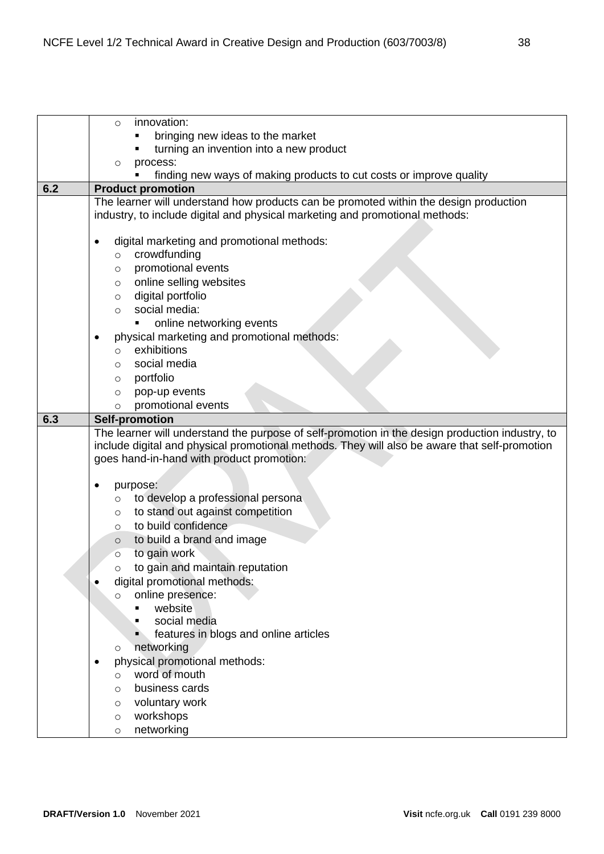|     | innovation:<br>$\circ$                                                                                                                                                |
|-----|-----------------------------------------------------------------------------------------------------------------------------------------------------------------------|
|     | bringing new ideas to the market                                                                                                                                      |
|     | turning an invention into a new product                                                                                                                               |
|     | process:<br>$\circ$                                                                                                                                                   |
|     | finding new ways of making products to cut costs or improve quality                                                                                                   |
| 6.2 | <b>Product promotion</b>                                                                                                                                              |
|     | The learner will understand how products can be promoted within the design production<br>industry, to include digital and physical marketing and promotional methods: |
|     |                                                                                                                                                                       |
|     | digital marketing and promotional methods:<br>٠                                                                                                                       |
|     | crowdfunding<br>$\circ$                                                                                                                                               |
|     | promotional events<br>$\circ$                                                                                                                                         |
|     | online selling websites<br>$\circ$                                                                                                                                    |
|     | digital portfolio<br>$\circ$                                                                                                                                          |
|     | social media:<br>$\circ$                                                                                                                                              |
|     | online networking events                                                                                                                                              |
|     | physical marketing and promotional methods:<br>٠                                                                                                                      |
|     | exhibitions<br>$\circ$                                                                                                                                                |
|     | social media<br>$\circ$                                                                                                                                               |
|     | portfolio                                                                                                                                                             |
|     | $\circ$<br>pop-up events                                                                                                                                              |
|     | $\circ$<br>promotional events<br>$\circ$                                                                                                                              |
| 6.3 | <b>Self-promotion</b>                                                                                                                                                 |
|     |                                                                                                                                                                       |
|     | The learner will understand the purpose of self-promotion in the design production industry, to                                                                       |
|     | include digital and physical promotional methods. They will also be aware that self-promotion                                                                         |
|     | goes hand-in-hand with product promotion:                                                                                                                             |
|     |                                                                                                                                                                       |
|     | purpose:                                                                                                                                                              |
|     | to develop a professional persona<br>$\circ$                                                                                                                          |
|     | to stand out against competition<br>$\circ$                                                                                                                           |
|     | to build confidence<br>$\circ$                                                                                                                                        |
|     | to build a brand and image<br>$\circ$                                                                                                                                 |
|     | to gain work<br>$\circ$                                                                                                                                               |
|     | to gain and maintain reputation<br>O                                                                                                                                  |
|     | digital promotional methods:                                                                                                                                          |
|     | online presence:<br>$\circ$                                                                                                                                           |
|     | website                                                                                                                                                               |
|     | social media                                                                                                                                                          |
|     | features in blogs and online articles                                                                                                                                 |
|     | networking<br>O                                                                                                                                                       |
|     | physical promotional methods:                                                                                                                                         |
|     | word of mouth<br>$\circ$                                                                                                                                              |
|     | business cards<br>O                                                                                                                                                   |
|     | voluntary work<br>$\circ$                                                                                                                                             |
|     | workshops<br>$\circ$                                                                                                                                                  |
|     | networking<br>$\circ$                                                                                                                                                 |
|     |                                                                                                                                                                       |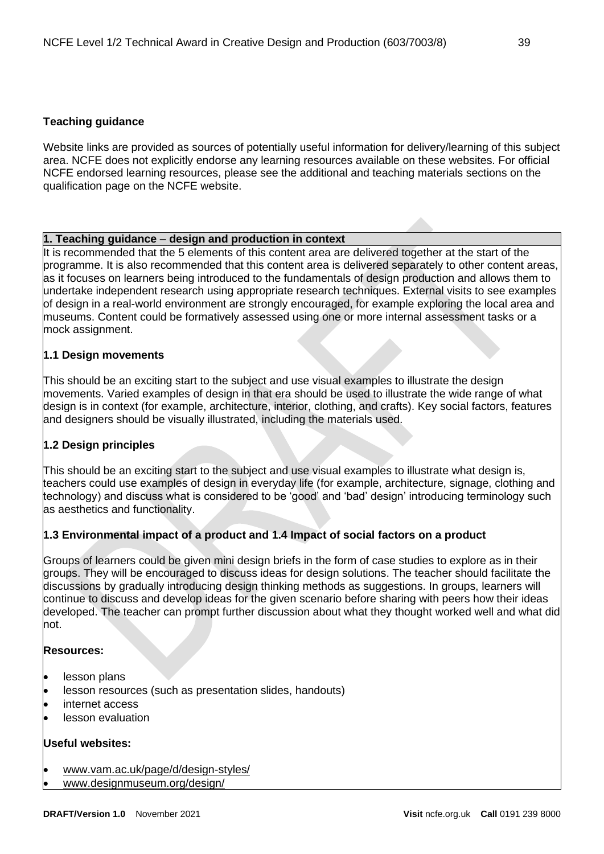## <span id="page-38-0"></span>**Teaching guidance**

Website links are provided as sources of potentially useful information for delivery/learning of this subject area. NCFE does not explicitly endorse any learning resources available on these websites. For official NCFE endorsed learning resources, please see the additional and teaching materials sections on the qualification page on the NCFE website.

## **1. Teaching guidance** – **design and production in context**

It is recommended that the 5 elements of this content area are delivered together at the start of the programme. It is also recommended that this content area is delivered separately to other content areas, as it focuses on learners being introduced to the fundamentals of design production and allows them to undertake independent research using appropriate research techniques. External visits to see examples of design in a real-world environment are strongly encouraged, for example exploring the local area and museums. Content could be formatively assessed using one or more internal assessment tasks or a mock assignment.

## **1.1 Design movements**

This should be an exciting start to the subject and use visual examples to illustrate the design movements. Varied examples of design in that era should be used to illustrate the wide range of what design is in context (for example, architecture, interior, clothing, and crafts). Key social factors, features and designers should be visually illustrated, including the materials used.

## **1.2 Design principles**

This should be an exciting start to the subject and use visual examples to illustrate what design is, teachers could use examples of design in everyday life (for example, architecture, signage, clothing and technology) and discuss what is considered to be 'good' and 'bad' design' introducing terminology such as aesthetics and functionality.

## **1.3 Environmental impact of a product and 1.4 Impact of social factors on a product**

Groups of learners could be given mini design briefs in the form of case studies to explore as in their groups. They will be encouraged to discuss ideas for design solutions. The teacher should facilitate the discussions by gradually introducing design thinking methods as suggestions. In groups, learners will continue to discuss and develop ideas for the given scenario before sharing with peers how their ideas developed. The teacher can prompt further discussion about what they thought worked well and what did not.

## **Resources:**

- lesson plans
- lesson resources (such as presentation slides, handouts)
- internet access
- lesson evaluation

## **Useful websites:**

- [www.vam.ac.uk/page/d/design-styles/](http://www.vam.ac.uk/page/d/design-styles/)
- www[.designmuseum.org/design/](https://designmuseum.org/design/)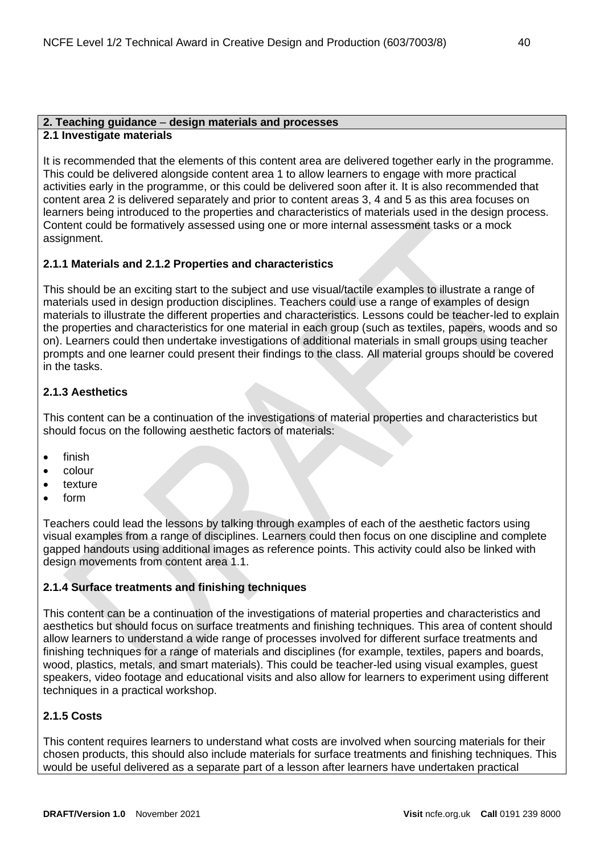#### **2. Teaching guidance** – **design materials and processes 2.1 Investigate materials**

It is recommended that the elements of this content area are delivered together early in the programme. This could be delivered alongside content area 1 to allow learners to engage with more practical activities early in the programme, or this could be delivered soon after it. It is also recommended that content area 2 is delivered separately and prior to content areas 3, 4 and 5 as this area focuses on learners being introduced to the properties and characteristics of materials used in the design process. Content could be formatively assessed using one or more internal assessment tasks or a mock assignment.

## **2.1.1 Materials and 2.1.2 Properties and characteristics**

This should be an exciting start to the subject and use visual/tactile examples to illustrate a range of materials used in design production disciplines. Teachers could use a range of examples of design materials to illustrate the different properties and characteristics. Lessons could be teacher-led to explain the properties and characteristics for one material in each group (such as textiles, papers, woods and so on). Learners could then undertake investigations of additional materials in small groups using teacher prompts and one learner could present their findings to the class. All material groups should be covered in the tasks.

## **2.1.3 Aesthetics**

This content can be a continuation of the investigations of material properties and characteristics but should focus on the following aesthetic factors of materials:

- finish
- colour
- texture
- form

Teachers could lead the lessons by talking through examples of each of the aesthetic factors using visual examples from a range of disciplines. Learners could then focus on one discipline and complete gapped handouts using additional images as reference points. This activity could also be linked with design movements from content area 1.1.

## **2.1.4 Surface treatments and finishing techniques**

This content can be a continuation of the investigations of material properties and characteristics and aesthetics but should focus on surface treatments and finishing techniques. This area of content should allow learners to understand a wide range of processes involved for different surface treatments and finishing techniques for a range of materials and disciplines (for example, textiles, papers and boards, wood, plastics, metals, and smart materials). This could be teacher-led using visual examples, guest speakers, video footage and educational visits and also allow for learners to experiment using different techniques in a practical workshop.

## **2.1.5 Costs**

This content requires learners to understand what costs are involved when sourcing materials for their chosen products, this should also include materials for surface treatments and finishing techniques. This would be useful delivered as a separate part of a lesson after learners have undertaken practical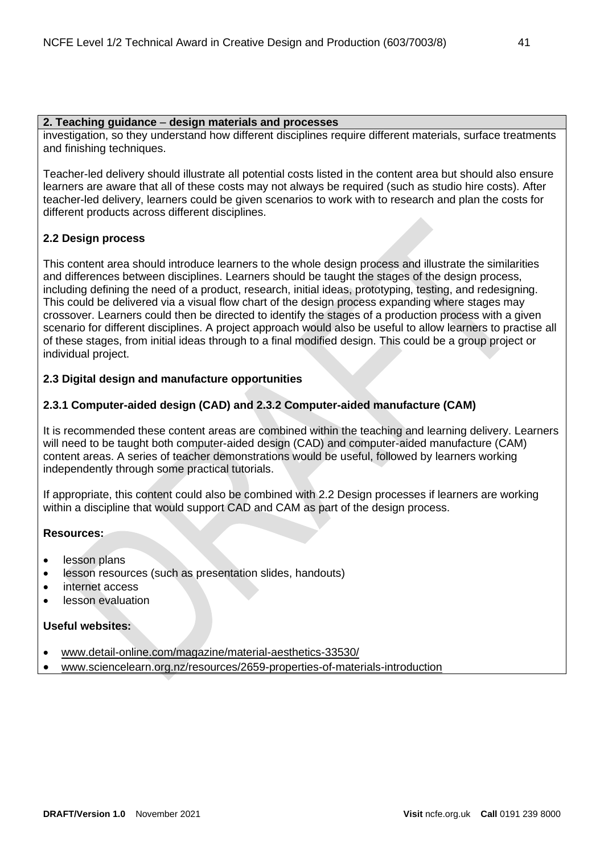#### **2. Teaching guidance** – **design materials and processes**

investigation, so they understand how different disciplines require different materials, surface treatments and finishing techniques.

Teacher-led delivery should illustrate all potential costs listed in the content area but should also ensure learners are aware that all of these costs may not always be required (such as studio hire costs). After teacher-led delivery, learners could be given scenarios to work with to research and plan the costs for different products across different disciplines.

## **2.2 Design process**

This content area should introduce learners to the whole design process and illustrate the similarities and differences between disciplines. Learners should be taught the stages of the design process, including defining the need of a product, research, initial ideas, prototyping, testing, and redesigning. This could be delivered via a visual flow chart of the design process expanding where stages may crossover. Learners could then be directed to identify the stages of a production process with a given scenario for different disciplines. A project approach would also be useful to allow learners to practise all of these stages, from initial ideas through to a final modified design. This could be a group project or individual project.

## **2.3 Digital design and manufacture opportunities**

## **2.3.1 Computer-aided design (CAD) and 2.3.2 Computer-aided manufacture (CAM)**

It is recommended these content areas are combined within the teaching and learning delivery. Learners will need to be taught both computer-aided design (CAD) and computer-aided manufacture (CAM) content areas. A series of teacher demonstrations would be useful, followed by learners working independently through some practical tutorials.

If appropriate, this content could also be combined with 2.2 Design processes if learners are working within a discipline that would support CAD and CAM as part of the design process.

## **Resources:**

- lesson plans
- lesson resources (such as presentation slides, handouts)
- internet access
- lesson evaluation

## **Useful websites:**

- [www.detail-online.com/magazine/material-aesthetics-33530/](https://www.detail-online.com/magazine/material-aesthetics-33530/)
- [www.sciencelearn.org.nz/resources/2659-properties-of-materials-introduction](https://www.sciencelearn.org.nz/resources/2659-properties-of-materials-introduction)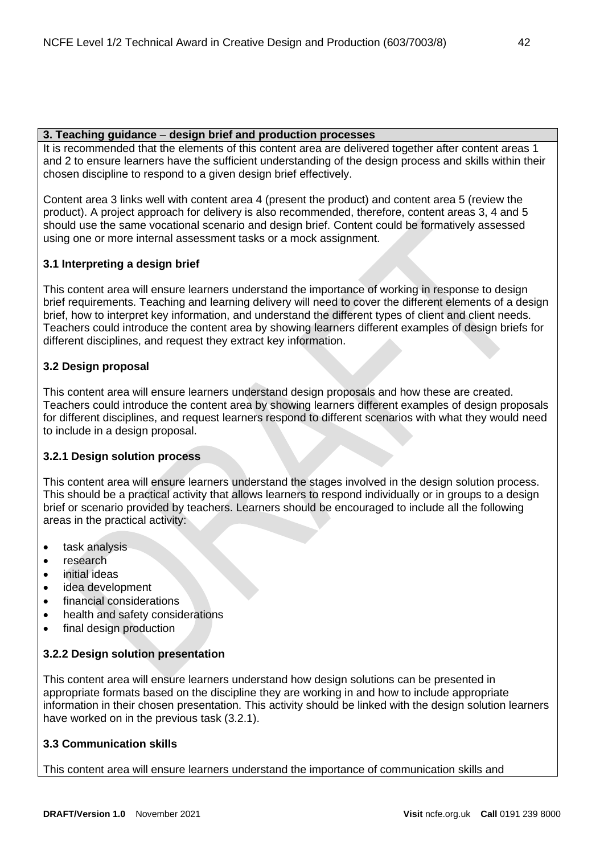## **3. Teaching guidance** – **design brief and production processes**

It is recommended that the elements of this content area are delivered together after content areas 1 and 2 to ensure learners have the sufficient understanding of the design process and skills within their chosen discipline to respond to a given design brief effectively.

Content area 3 links well with content area 4 (present the product) and content area 5 (review the product). A project approach for delivery is also recommended, therefore, content areas 3, 4 and 5 should use the same vocational scenario and design brief. Content could be formatively assessed using one or more internal assessment tasks or a mock assignment.

## **3.1 Interpreting a design brief**

This content area will ensure learners understand the importance of working in response to design brief requirements. Teaching and learning delivery will need to cover the different elements of a design brief, how to interpret key information, and understand the different types of client and client needs. Teachers could introduce the content area by showing learners different examples of design briefs for different disciplines, and request they extract key information.

## **3.2 Design proposal**

This content area will ensure learners understand design proposals and how these are created. Teachers could introduce the content area by showing learners different examples of design proposals for different disciplines, and request learners respond to different scenarios with what they would need to include in a design proposal.

## **3.2.1 Design solution process**

This content area will ensure learners understand the stages involved in the design solution process. This should be a practical activity that allows learners to respond individually or in groups to a design brief or scenario provided by teachers. Learners should be encouraged to include all the following areas in the practical activity:

- task analysis
- research
- initial ideas
- idea development
- financial considerations
- health and safety considerations
- final design production

## **3.2.2 Design solution presentation**

This content area will ensure learners understand how design solutions can be presented in appropriate formats based on the discipline they are working in and how to include appropriate information in their chosen presentation. This activity should be linked with the design solution learners have worked on in the previous task (3.2.1).

## **3.3 Communication skills**

This content area will ensure learners understand the importance of communication skills and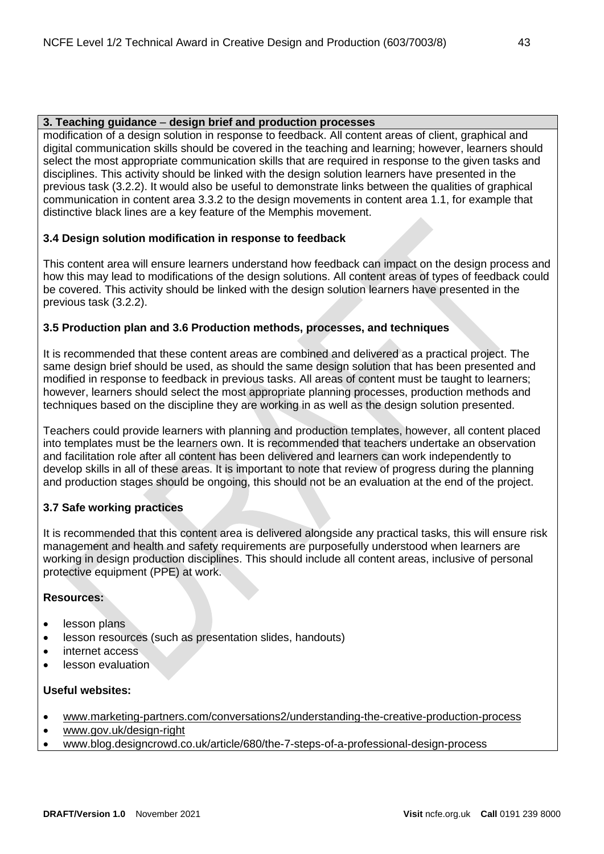## **3. Teaching guidance** – **design brief and production processes**

modification of a design solution in response to feedback. All content areas of client, graphical and digital communication skills should be covered in the teaching and learning; however, learners should select the most appropriate communication skills that are required in response to the given tasks and disciplines. This activity should be linked with the design solution learners have presented in the previous task (3.2.2). It would also be useful to demonstrate links between the qualities of graphical communication in content area 3.3.2 to the design movements in content area 1.1, for example that distinctive black lines are a key feature of the Memphis movement.

## **3.4 Design solution modification in response to feedback**

This content area will ensure learners understand how feedback can impact on the design process and how this may lead to modifications of the design solutions. All content areas of types of feedback could be covered. This activity should be linked with the design solution learners have presented in the previous task (3.2.2).

## **3.5 Production plan and 3.6 Production methods, processes, and techniques**

It is recommended that these content areas are combined and delivered as a practical project. The same design brief should be used, as should the same design solution that has been presented and modified in response to feedback in previous tasks. All areas of content must be taught to learners; however, learners should select the most appropriate planning processes, production methods and techniques based on the discipline they are working in as well as the design solution presented.

Teachers could provide learners with planning and production templates, however, all content placed into templates must be the learners own. It is recommended that teachers undertake an observation and facilitation role after all content has been delivered and learners can work independently to develop skills in all of these areas. It is important to note that review of progress during the planning and production stages should be ongoing, this should not be an evaluation at the end of the project.

## **3.7 Safe working practices**

It is recommended that this content area is delivered alongside any practical tasks, this will ensure risk management and health and safety requirements are purposefully understood when learners are working in design production disciplines. This should include all content areas, inclusive of personal protective equipment (PPE) at work.

## **Resources:**

- lesson plans
- lesson resources (such as presentation slides, handouts)
- internet access
- lesson evaluation

## **Useful websites:**

- [www.marketing-partners.com/conversations2/understanding-the-creative-production-process](https://www.marketing-partners.com/conversations2/understanding-the-creative-production-process)
- [www.gov.uk/design-right](https://www.gov.uk/design-right)
- www[.blog.designcrowd.co.uk/article/680/the-7-steps-of-a-professional-design-process](https://blog.designcrowd.co.uk/article/680/the-7-steps-of-a-professional-design-process)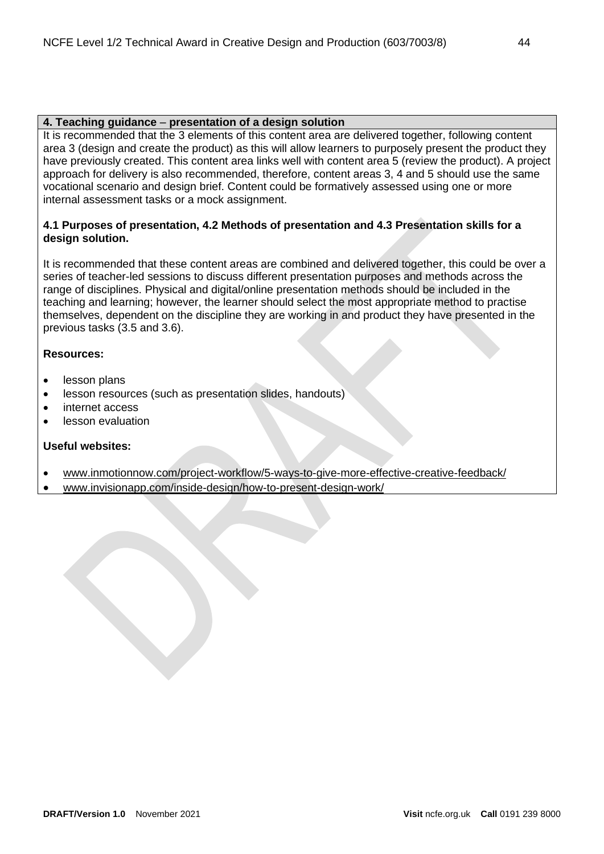## **4. Teaching guidance** – **presentation of a design solution**

It is recommended that the 3 elements of this content area are delivered together, following content area 3 (design and create the product) as this will allow learners to purposely present the product they have previously created. This content area links well with content area 5 (review the product). A project approach for delivery is also recommended, therefore, content areas 3, 4 and 5 should use the same vocational scenario and design brief. Content could be formatively assessed using one or more internal assessment tasks or a mock assignment.

## **4.1 Purposes of presentation, 4.2 Methods of presentation and 4.3 Presentation skills for a design solution.**

It is recommended that these content areas are combined and delivered together, this could be over a series of teacher-led sessions to discuss different presentation purposes and methods across the range of disciplines. Physical and digital/online presentation methods should be included in the teaching and learning; however, the learner should select the most appropriate method to practise themselves, dependent on the discipline they are working in and product they have presented in the previous tasks (3.5 and 3.6).

## **Resources:**

- lesson plans
- lesson resources (such as presentation slides, handouts)
- internet access
- lesson evaluation

## **Useful websites:**

- [www.inmotionnow.com/project-workflow/5-ways-to-give-more-effective-creative-feedback/](https://www.inmotionnow.com/project-workflow/5-ways-to-give-more-effective-creative-feedback/)
- [www.invisionapp.com/inside-design/how-to-present-design-work/](https://www.invisionapp.com/inside-design/how-to-present-design-work/)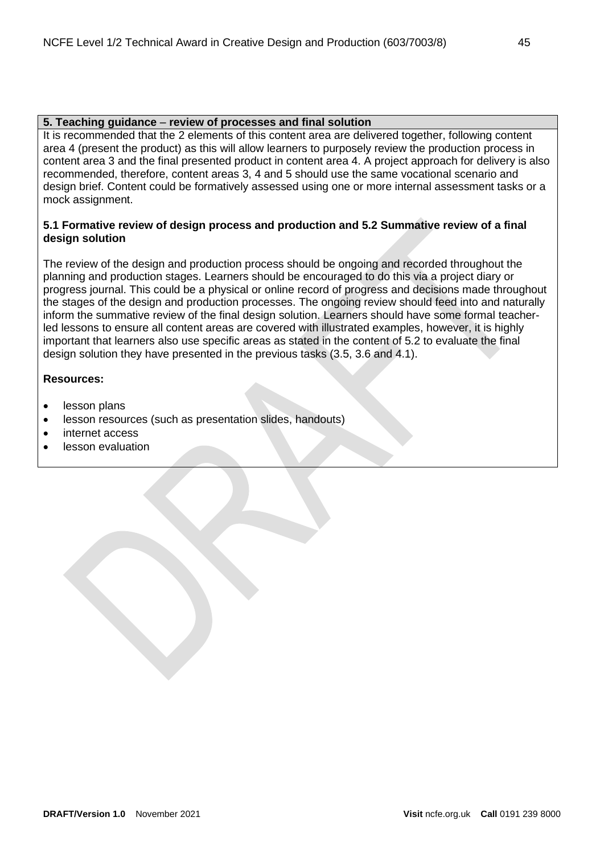## **5. Teaching guidance** – **review of processes and final solution**

It is recommended that the 2 elements of this content area are delivered together, following content area 4 (present the product) as this will allow learners to purposely review the production process in content area 3 and the final presented product in content area 4. A project approach for delivery is also recommended, therefore, content areas 3, 4 and 5 should use the same vocational scenario and design brief. Content could be formatively assessed using one or more internal assessment tasks or a mock assignment.

## **5.1 Formative review of design process and production and 5.2 Summative review of a final design solution**

The review of the design and production process should be ongoing and recorded throughout the planning and production stages. Learners should be encouraged to do this via a project diary or progress journal. This could be a physical or online record of progress and decisions made throughout the stages of the design and production processes. The ongoing review should feed into and naturally inform the summative review of the final design solution. Learners should have some formal teacherled lessons to ensure all content areas are covered with illustrated examples, however, it is highly important that learners also use specific areas as stated in the content of 5.2 to evaluate the final design solution they have presented in the previous tasks (3.5, 3.6 and 4.1).

## **Resources:**

- lesson plans
- lesson resources (such as presentation slides, handouts)
- internet access
- lesson evaluation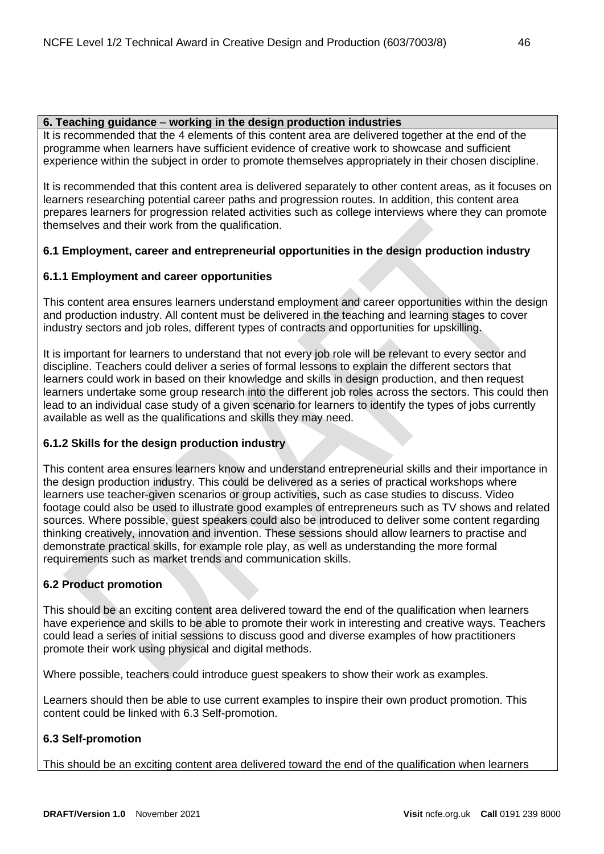## **6. Teaching guidance** – **working in the design production industries**

It is recommended that the 4 elements of this content area are delivered together at the end of the programme when learners have sufficient evidence of creative work to showcase and sufficient experience within the subject in order to promote themselves appropriately in their chosen discipline.

It is recommended that this content area is delivered separately to other content areas, as it focuses on learners researching potential career paths and progression routes. In addition, this content area prepares learners for progression related activities such as college interviews where they can promote themselves and their work from the qualification.

## **6.1 Employment, career and entrepreneurial opportunities in the design production industry**

## **6.1.1 Employment and career opportunities**

This content area ensures learners understand employment and career opportunities within the design and production industry. All content must be delivered in the teaching and learning stages to cover industry sectors and job roles, different types of contracts and opportunities for upskilling.

It is important for learners to understand that not every job role will be relevant to every sector and discipline. Teachers could deliver a series of formal lessons to explain the different sectors that learners could work in based on their knowledge and skills in design production, and then request learners undertake some group research into the different job roles across the sectors. This could then lead to an individual case study of a given scenario for learners to identify the types of jobs currently available as well as the qualifications and skills they may need.

## **6.1.2 Skills for the design production industry**

This content area ensures learners know and understand entrepreneurial skills and their importance in the design production industry. This could be delivered as a series of practical workshops where learners use teacher-given scenarios or group activities, such as case studies to discuss. Video footage could also be used to illustrate good examples of entrepreneurs such as TV shows and related sources. Where possible, guest speakers could also be introduced to deliver some content regarding thinking creatively, innovation and invention. These sessions should allow learners to practise and demonstrate practical skills, for example role play, as well as understanding the more formal requirements such as market trends and communication skills.

## **6.2 Product promotion**

This should be an exciting content area delivered toward the end of the qualification when learners have experience and skills to be able to promote their work in interesting and creative ways. Teachers could lead a series of initial sessions to discuss good and diverse examples of how practitioners promote their work using physical and digital methods.

Where possible, teachers could introduce guest speakers to show their work as examples.

Learners should then be able to use current examples to inspire their own product promotion. This content could be linked with 6.3 Self-promotion.

## **6.3 Self-promotion**

This should be an exciting content area delivered toward the end of the qualification when learners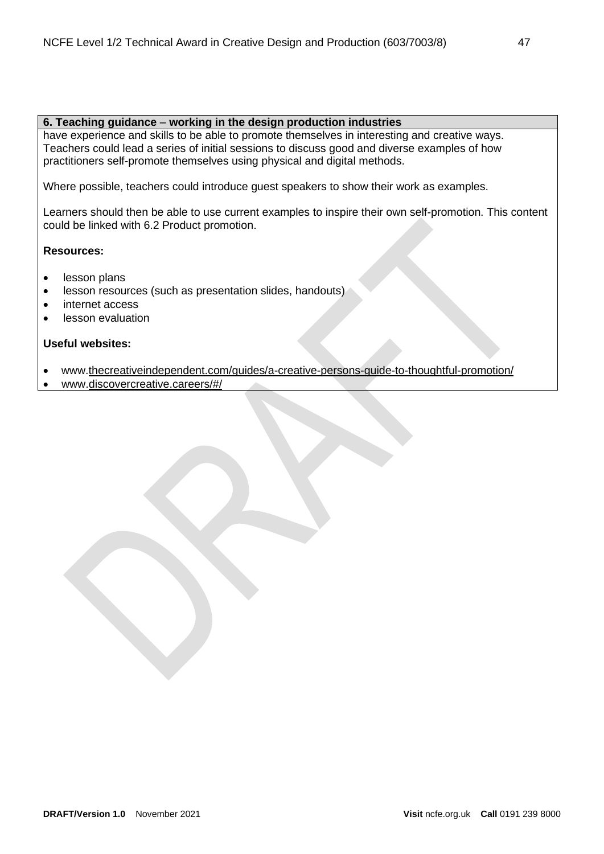## **6. Teaching guidance** – **working in the design production industries**

have experience and skills to be able to promote themselves in interesting and creative ways. Teachers could lead a series of initial sessions to discuss good and diverse examples of how practitioners self-promote themselves using physical and digital methods.

Where possible, teachers could introduce guest speakers to show their work as examples.

Learners should then be able to use current examples to inspire their own self-promotion. This content could be linked with 6.2 Product promotion.

## **Resources:**

- lesson plans
- lesson resources (such as presentation slides, handouts)
- internet access
- lesson evaluation

#### **Useful websites:**

- www[.thecreativeindependent.com/guides/a-creative-persons-guide-to-thoughtful-promotion/](https://thecreativeindependent.com/guides/a-creative-persons-guide-to-thoughtful-promotion/)
- www[.discovercreative.careers/#/](https://discovercreative.careers/#/)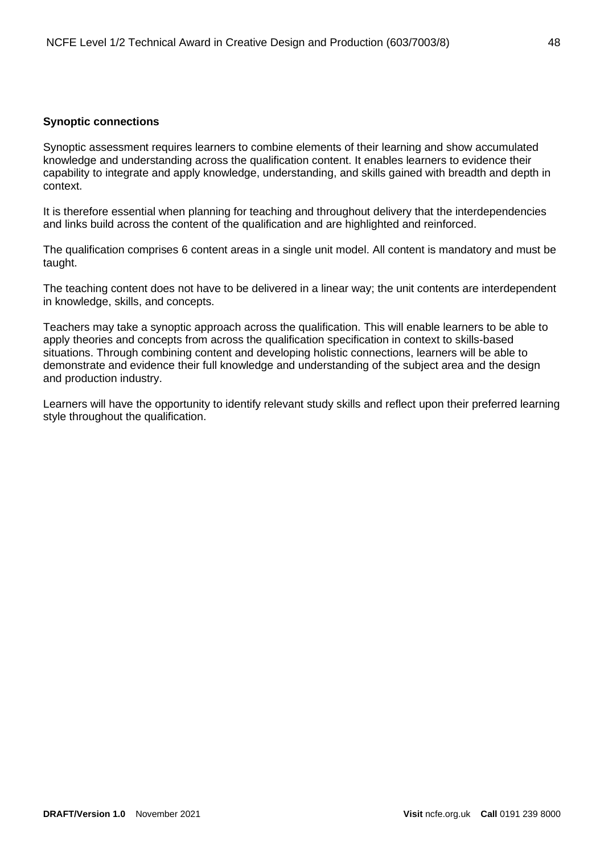## <span id="page-47-0"></span>**Synoptic connections**

Synoptic assessment requires learners to combine elements of their learning and show accumulated knowledge and understanding across the qualification content. It enables learners to evidence their capability to integrate and apply knowledge, understanding, and skills gained with breadth and depth in context.

It is therefore essential when planning for teaching and throughout delivery that the interdependencies and links build across the content of the qualification and are highlighted and reinforced.

The qualification comprises 6 content areas in a single unit model. All content is mandatory and must be taught.

The teaching content does not have to be delivered in a linear way; the unit contents are interdependent in knowledge, skills, and concepts.

Teachers may take a synoptic approach across the qualification. This will enable learners to be able to apply theories and concepts from across the qualification specification in context to skills-based situations. Through combining content and developing holistic connections, learners will be able to demonstrate and evidence their full knowledge and understanding of the subject area and the design and production industry.

Learners will have the opportunity to identify relevant study skills and reflect upon their preferred learning style throughout the qualification.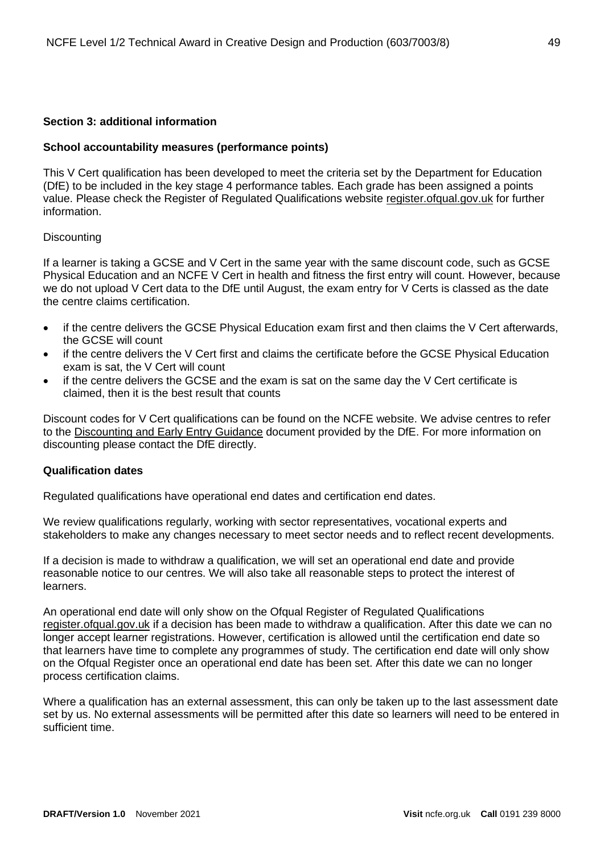## <span id="page-48-0"></span>**Section 3: additional information**

## <span id="page-48-1"></span>**School accountability measures (performance points)**

This V Cert qualification has been developed to meet the criteria set by the Department for Education (DfE) to be included in the key stage 4 performance tables. Each grade has been assigned a points value. Please check the Register of Regulated Qualifications website [register.ofqual.gov.uk](http://register.ofqual.gov.uk/) for further information.

#### <span id="page-48-2"></span>**Discounting**

If a learner is taking a GCSE and V Cert in the same year with the same discount code, such as GCSE Physical Education and an NCFE V Cert in health and fitness the first entry will count. However, because we do not upload V Cert data to the DfE until August, the exam entry for V Certs is classed as the date the centre claims certification.

- if the centre delivers the GCSE Physical Education exam first and then claims the V Cert afterwards, the GCSE will count
- if the centre delivers the V Cert first and claims the certificate before the GCSE Physical Education exam is sat, the V Cert will count
- if the centre delivers the GCSE and the exam is sat on the same day the V Cert certificate is claimed, then it is the best result that counts

Discount codes for V Cert qualifications can be found on the NCFE website. We advise centres to refer to the [Discounting and Early Entry Guidance](https://www.gov.uk/government/uploads/system/uploads/attachment_data/file/651207/Key_stage_4_discounting_and_early_entry_guidance_2017.pdf) document provided by the DfE. For more information on discounting please contact the DfE directly.

#### <span id="page-48-3"></span>**Qualification dates**

Regulated qualifications have operational end dates and certification end dates.

We review qualifications regularly, working with sector representatives, vocational experts and stakeholders to make any changes necessary to meet sector needs and to reflect recent developments.

If a decision is made to withdraw a qualification, we will set an operational end date and provide reasonable notice to our centres. We will also take all reasonable steps to protect the interest of learners.

An operational end date will only show on the Ofqual Register of Regulated Qualifications [register.ofqual.gov.uk](https://register.ofqual.gov.uk/) if a decision has been made to withdraw a qualification. After this date we can no longer accept learner registrations. However, certification is allowed until the certification end date so that learners have time to complete any programmes of study. The certification end date will only show on the Ofqual Register once an operational end date has been set. After this date we can no longer process certification claims.

Where a qualification has an external assessment, this can only be taken up to the last assessment date set by us. No external assessments will be permitted after this date so learners will need to be entered in sufficient time.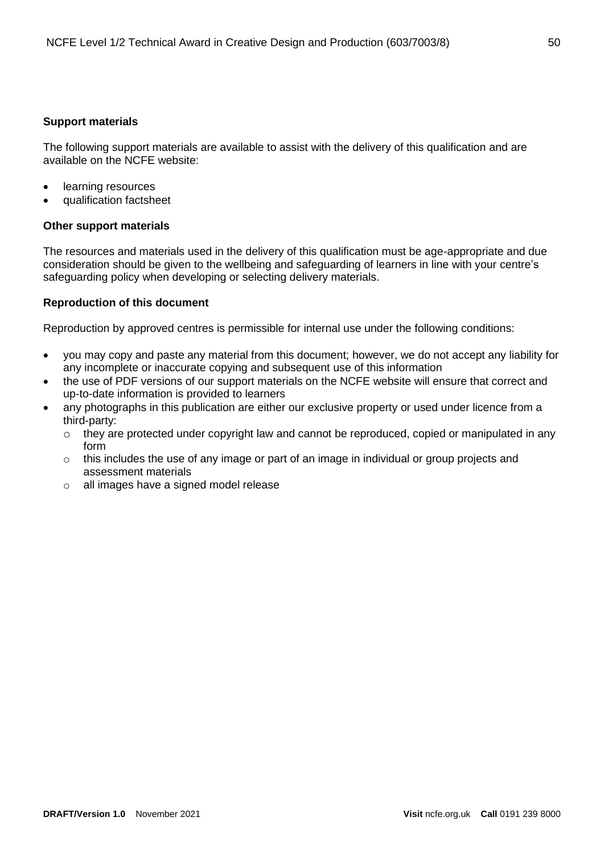## <span id="page-49-0"></span>**Support materials**

The following support materials are available to assist with the delivery of this qualification and are available on the NCFE website:

- learning resources
- qualification factsheet

## **Other support materials**

The resources and materials used in the delivery of this qualification must be age-appropriate and due consideration should be given to the wellbeing and safeguarding of learners in line with your centre's safeguarding policy when developing or selecting delivery materials.

## <span id="page-49-1"></span>**Reproduction of this document**

Reproduction by approved centres is permissible for internal use under the following conditions:

- you may copy and paste any material from this document; however, we do not accept any liability for any incomplete or inaccurate copying and subsequent use of this information
- the use of PDF versions of our support materials on the NCFE website will ensure that correct and up-to-date information is provided to learners
- any photographs in this publication are either our exclusive property or used under licence from a third-party:
	- o they are protected under copyright law and cannot be reproduced, copied or manipulated in any form
	- o this includes the use of any image or part of an image in individual or group projects and assessment materials
	- o all images have a signed model release